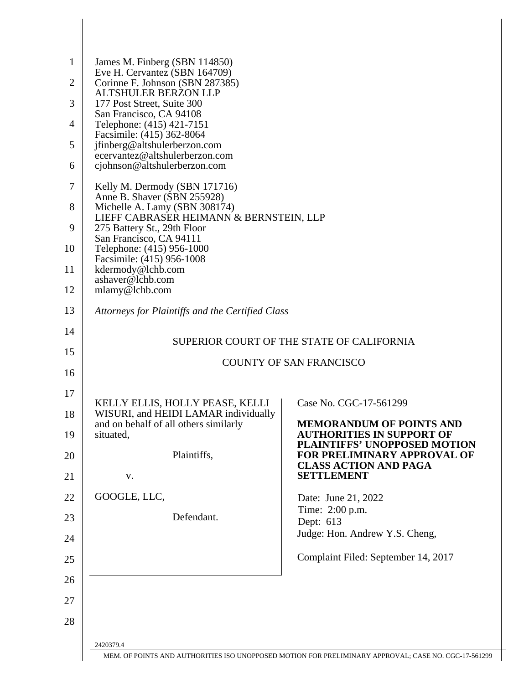| $\mathbf{1}$<br>$\overline{2}$<br>3<br>4<br>5<br>6 | James M. Finberg (SBN 114850)<br>Eve H. Cervantez (SBN 164709)<br>Corinne F. Johnson (SBN 287385)<br><b>ALTSHULER BERZON LLP</b><br>177 Post Street, Suite 300<br>San Francisco, CA 94108<br>Telephone: (415) 421-7151<br>Facsimile: (415) 362-8064<br>jfinberg@altshulerberzon.com<br>ecervantez@altshulerberzon.com<br>cjohnson@altshulerberzon.com |                                                                                                                                                                            |
|----------------------------------------------------|-------------------------------------------------------------------------------------------------------------------------------------------------------------------------------------------------------------------------------------------------------------------------------------------------------------------------------------------------------|----------------------------------------------------------------------------------------------------------------------------------------------------------------------------|
| 7<br>8<br>9<br>10<br>11<br>12                      | Kelly M. Dermody (SBN 171716)<br>Anne B. Shaver (SBN 255928)<br>Michelle A. Lamy (SBN 308174)<br>LIEFF CABRASER HEIMANN & BERNSTEIN, LLP<br>275 Battery St., 29th Floor<br>San Francisco, CA 94111<br>Telephone: (415) 956-1000<br>Facsimile: (415) 956-1008<br>kdermody@lchb.com<br>ashaver@lchb.com<br>mlamy@lchb.com                               |                                                                                                                                                                            |
| 13                                                 | Attorneys for Plaintiffs and the Certified Class                                                                                                                                                                                                                                                                                                      |                                                                                                                                                                            |
| 14                                                 |                                                                                                                                                                                                                                                                                                                                                       | SUPERIOR COURT OF THE STATE OF CALIFORNIA                                                                                                                                  |
| 15<br>16                                           |                                                                                                                                                                                                                                                                                                                                                       | <b>COUNTY OF SAN FRANCISCO</b>                                                                                                                                             |
| 17                                                 |                                                                                                                                                                                                                                                                                                                                                       |                                                                                                                                                                            |
| 18<br>19<br>20                                     | KELLY ELLIS, HOLLY PEASE, KELLI<br>WISURI, and HEIDI LAMAR individually<br>and on behalf of all others similarly<br>situated,<br>Plaintiffs,                                                                                                                                                                                                          | Case No. CGC-17-561299<br><b>MEMORANDUM OF POINTS AND</b><br><b>AUTHORITIES IN SUPPORT OF</b><br><b>PLAINTIFFS' UNOPPOSED MOTION</b><br><b>FOR PRELIMINARY APPROVAL OF</b> |
| 21                                                 | V.                                                                                                                                                                                                                                                                                                                                                    | <b>CLASS ACTION AND PAGA</b><br><b>SETTLEMENT</b>                                                                                                                          |
| 22<br>23<br>24                                     | GOOGLE, LLC,<br>Defendant.                                                                                                                                                                                                                                                                                                                            | Date: June 21, 2022<br>Time: 2:00 p.m.<br>Dept: 613<br>Judge: Hon. Andrew Y.S. Cheng,                                                                                      |
| 25<br>26                                           |                                                                                                                                                                                                                                                                                                                                                       | Complaint Filed: September 14, 2017                                                                                                                                        |
| 27<br>28                                           | 2420379.4                                                                                                                                                                                                                                                                                                                                             | MEM. OF POINTS AND AUTHORITIES ISO UNOPPOSED MOTION FOR PRELIMINARY APPROVAL; CASE NO. CGC-17-561299                                                                       |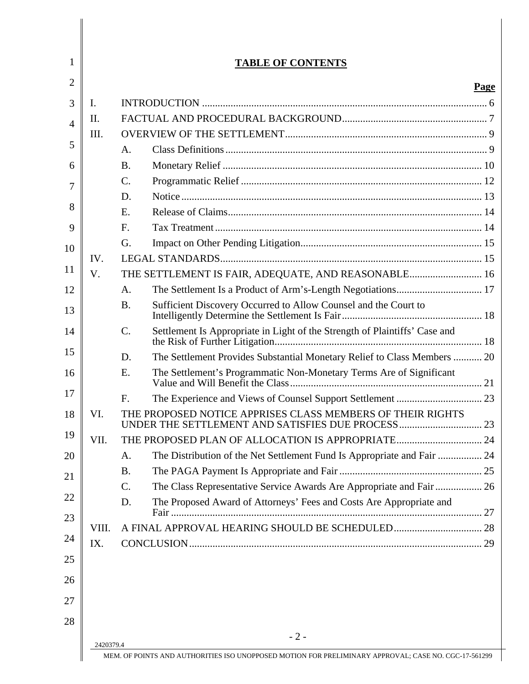|       |                 |                                                                            | <b>Page</b> |
|-------|-----------------|----------------------------------------------------------------------------|-------------|
| I.    |                 |                                                                            |             |
| II.   |                 |                                                                            |             |
| III.  |                 |                                                                            |             |
|       | A.              |                                                                            |             |
|       | <b>B.</b>       |                                                                            |             |
|       | $\mathbf{C}$ .  |                                                                            |             |
|       | D.              |                                                                            |             |
|       | E.              |                                                                            |             |
|       | F.              |                                                                            |             |
|       | G.              |                                                                            |             |
| IV.   |                 |                                                                            |             |
| V.    |                 | THE SETTLEMENT IS FAIR, ADEQUATE, AND REASONABLE 16                        |             |
|       | A.              |                                                                            |             |
|       | <b>B.</b>       | Sufficient Discovery Occurred to Allow Counsel and the Court to            |             |
|       | C.              | Settlement Is Appropriate in Light of the Strength of Plaintiffs' Case and |             |
|       | D.              | The Settlement Provides Substantial Monetary Relief to Class Members  20   |             |
|       | E.              | The Settlement's Programmatic Non-Monetary Terms Are of Significant        |             |
|       | F.              |                                                                            |             |
| VI.   |                 | THE PROPOSED NOTICE APPRISES CLASS MEMBERS OF THEIR RIGHTS                 |             |
| VII.  |                 | THE PROPOSED PLAN OF ALLOCATION IS APPROPRIATE 24                          |             |
|       | A.              | The Distribution of the Net Settlement Fund Is Appropriate and Fair  24    |             |
|       | <b>B.</b>       |                                                                            |             |
|       | $\mathcal{C}$ . | The Class Representative Service Awards Are Appropriate and Fair  26       |             |
|       | D.              | The Proposed Award of Attorneys' Fees and Costs Are Appropriate and        |             |
| VIII. |                 |                                                                            |             |
| IX.   |                 |                                                                            |             |
|       |                 |                                                                            |             |
|       |                 | $-2-$                                                                      |             |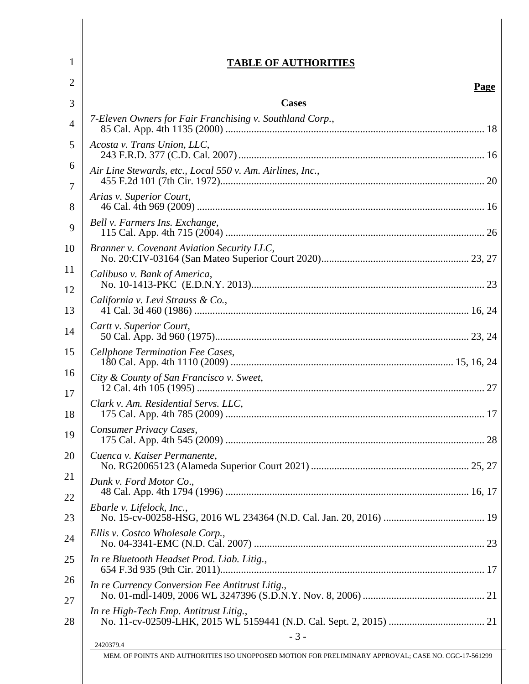### **TABLE OF AUTHORITIES**

1

| 2        | <b>Page</b>                                               |
|----------|-----------------------------------------------------------|
| 3        | <b>Cases</b>                                              |
| 4        | 7-Eleven Owners for Fair Franchising v. Southland Corp.,  |
| 5        | Acosta v. Trans Union, LLC,                               |
| 6<br>7   | Air Line Stewards, etc., Local 550 v. Am. Airlines, Inc., |
| 8        | Arias v. Superior Court,                                  |
| 9        | Bell v. Farmers Ins. Exchange,                            |
| 10       | Branner v. Covenant Aviation Security LLC,                |
| 11<br>12 | Calibuso v. Bank of America,                              |
| 13       | California v. Levi Strauss & Co.,                         |
| 14       | Cartt v. Superior Court,                                  |
| 15       | Cellphone Termination Fee Cases,                          |
| 16       | City & County of San Francisco v. Sweet,                  |
| 17<br>18 | Clark v. Am. Residential Servs. LLC,                      |
| 19       | Consumer Privacy Cases,                                   |
| 20       | Cuenca v. Kaiser Permanente,                              |
| 21       | Dunk v. Ford Motor Co.,                                   |
| 22<br>23 | Ebarle v. Lifelock, Inc.,                                 |
| 24       | Ellis v. Costco Wholesale Corp.,                          |
| 25       | In re Bluetooth Headset Prod. Liab. Litig.,               |
| 26       | In re Currency Conversion Fee Antitrust Litig.,           |
| 27<br>28 | In re High-Tech Emp. Antitrust Litig.,                    |
|          | $-3-$<br>2420379.4                                        |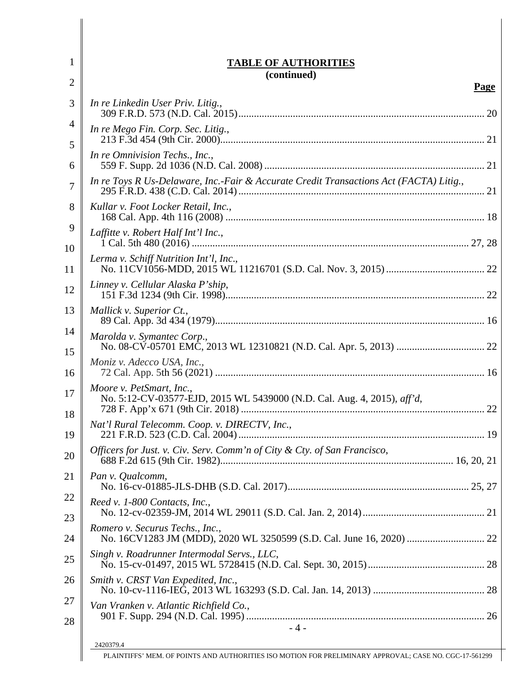| 1        | <b>TABLE OF AUTHORITIES</b>                                                                                         |
|----------|---------------------------------------------------------------------------------------------------------------------|
| 2        | (continued)<br>Page                                                                                                 |
| 3        | In re Linkedin User Priv. Litig.,                                                                                   |
| 4        | In re Mego Fin. Corp. Sec. Litig.,                                                                                  |
| 5<br>6   | In re Omnivision Techs., Inc.,                                                                                      |
| 7        | In re Toys R Us-Delaware, Inc.-Fair & Accurate Credit Transactions Act (FACTA) Litig.,                              |
| 8        | Kullar v. Foot Locker Retail, Inc.,                                                                                 |
| 9<br>10  | Laffitte v. Robert Half Int'l Inc.,                                                                                 |
| 11       | Lerma v. Schiff Nutrition Int'l, Inc.,                                                                              |
| 12       | Linney v. Cellular Alaska P'ship,                                                                                   |
| 13       | Mallick v. Superior Ct.,                                                                                            |
| 14<br>15 | Marolda v. Symantec Corp.,                                                                                          |
| 16       | Moniz v. Adecco USA, Inc.,                                                                                          |
| 17<br>18 | Moore v. PetSmart, Inc.,<br>No. 5:12-CV-03577-EJD, 2015 WL 5439000 (N.D. Cal. Aug. 4, 2015), aff'd,                 |
| 19       | Nat'l Rural Telecomm. Coop. v. DIRECTV, Inc.,                                                                       |
| 20       | Officers for Just. v. Civ. Serv. Comm'n of City & Cty. of San Francisco,                                            |
| 21       | Pan v. Qualcomm,                                                                                                    |
| 22<br>23 | Reed v. 1-800 Contacts, Inc.,                                                                                       |
| 24       | Romero v. Securus Techs., Inc.,                                                                                     |
| 25       | Singh v. Roadrunner Intermodal Servs., LLC,                                                                         |
| 26       | Smith v. CRST Van Expedited, Inc.,                                                                                  |
| 27<br>28 | Van Vranken v. Atlantic Richfield Co.,                                                                              |
|          | $-4-$                                                                                                               |
|          | 2420379.4<br>PLAINTIFFS' MEM. OF POINTS AND AUTHORITIES ISO MOTION FOR PRELIMINARY APPROVAL; CASE NO. CGC-17-561299 |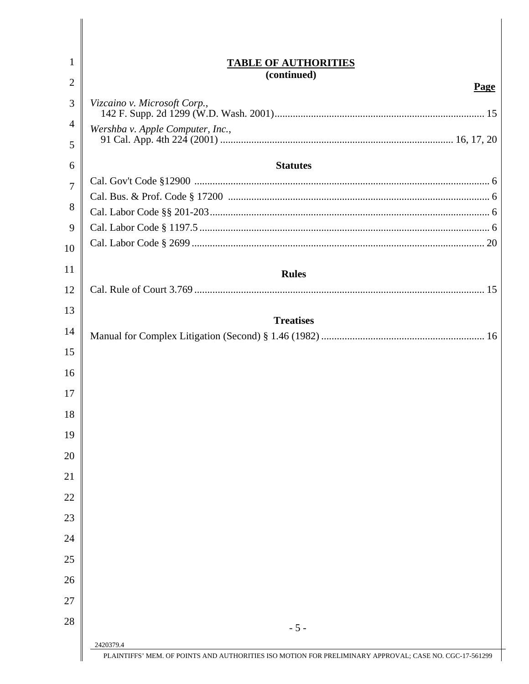| 1  | <b>TABLE OF AUTHORITIES</b>                                                                                         |  |
|----|---------------------------------------------------------------------------------------------------------------------|--|
| 2  | (continued)<br>Page                                                                                                 |  |
| 3  | Vizcaino v. Microsoft Corp.,                                                                                        |  |
| 4  | Wershba v. Apple Computer, Inc.,                                                                                    |  |
| 5  |                                                                                                                     |  |
| 6  | <b>Statutes</b>                                                                                                     |  |
| 7  |                                                                                                                     |  |
| 8  |                                                                                                                     |  |
|    |                                                                                                                     |  |
| 9  |                                                                                                                     |  |
| 10 |                                                                                                                     |  |
| 11 | <b>Rules</b>                                                                                                        |  |
| 12 |                                                                                                                     |  |
| 13 |                                                                                                                     |  |
| 14 | <b>Treatises</b>                                                                                                    |  |
| 15 |                                                                                                                     |  |
| 16 |                                                                                                                     |  |
| 17 |                                                                                                                     |  |
| 18 |                                                                                                                     |  |
| 19 |                                                                                                                     |  |
| 20 |                                                                                                                     |  |
| 21 |                                                                                                                     |  |
| 22 |                                                                                                                     |  |
| 23 |                                                                                                                     |  |
| 24 |                                                                                                                     |  |
| 25 |                                                                                                                     |  |
| 26 |                                                                                                                     |  |
| 27 |                                                                                                                     |  |
| 28 |                                                                                                                     |  |
|    | $-5-$                                                                                                               |  |
|    | 2420379.4<br>PLAINTIFFS' MEM. OF POINTS AND AUTHORITIES ISO MOTION FOR PRELIMINARY APPROVAL; CASE NO. CGC-17-561299 |  |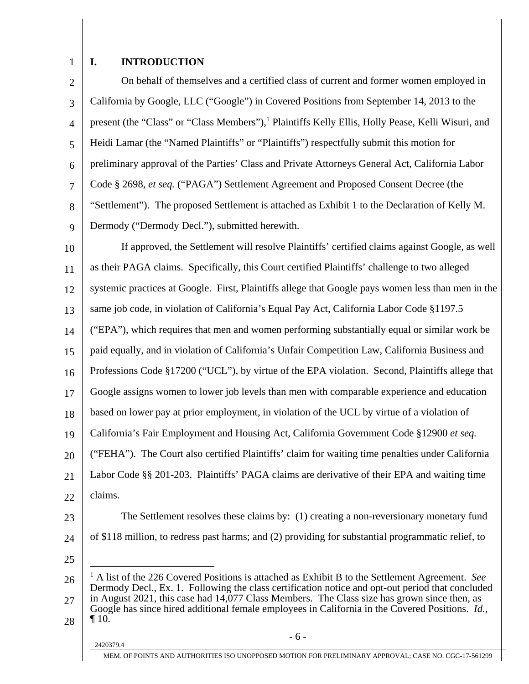## 1

#### **I. INTRODUCTION**

2 3 4 5 6 7 8 9 On behalf of themselves and a certified class of current and former women employed in California by Google, LLC ("Google") in Covered Positions from September 14, 2013 to the present (the "Class" or "Class Members"),<sup>1</sup> Plaintiffs Kelly Ellis, Holly Pease, Kelli Wisuri, and Heidi Lamar (the "Named Plaintiffs" or "Plaintiffs") respectfully submit this motion for preliminary approval of the Parties' Class and Private Attorneys General Act, California Labor Code § 2698, *et seq.* ("PAGA") Settlement Agreement and Proposed Consent Decree (the "Settlement"). The proposed Settlement is attached as Exhibit 1 to the Declaration of Kelly M. Dermody ("Dermody Decl."), submitted herewith.

10 11 12 13 14 15 16 17 18 19 20 21 22 23 If approved, the Settlement will resolve Plaintiffs' certified claims against Google, as well as their PAGA claims. Specifically, this Court certified Plaintiffs' challenge to two alleged systemic practices at Google. First, Plaintiffs allege that Google pays women less than men in the same job code, in violation of California's Equal Pay Act, California Labor Code §1197.5 ("EPA"), which requires that men and women performing substantially equal or similar work be paid equally, and in violation of California's Unfair Competition Law, California Business and Professions Code §17200 ("UCL"), by virtue of the EPA violation. Second, Plaintiffs allege that Google assigns women to lower job levels than men with comparable experience and education based on lower pay at prior employment, in violation of the UCL by virtue of a violation of California's Fair Employment and Housing Act, California Government Code §12900 *et seq.*  ("FEHA"). The Court also certified Plaintiffs' claim for waiting time penalties under California Labor Code §§ 201-203. Plaintiffs' PAGA claims are derivative of their EPA and waiting time claims. The Settlement resolves these claims by: (1) creating a non-reversionary monetary fund

24 25

 $\overline{a}$ 

of \$118 million, to redress past harms; and (2) providing for substantial programmatic relief, to

<sup>26</sup>  27 28 <sup>1</sup> A list of the 226 Covered Positions is attached as Exhibit B to the Settlement Agreement. *See* Dermody Decl., Ex. 1. Following the class certification notice and opt-out period that concluded in August 2021, this case had 14,077 Class Members. The Class size has grown since then, as Google has since hired additional female employees in California in the Covered Positions. *Id.*,  $\P$  10.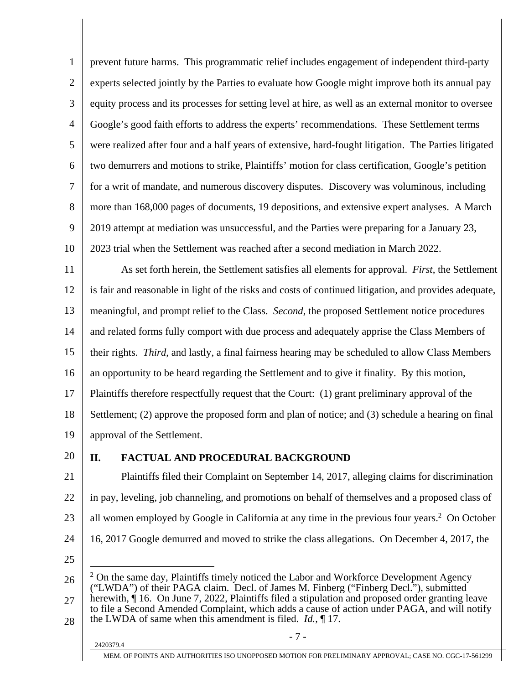1 2 3 4 5 6 7 8 9 10 prevent future harms. This programmatic relief includes engagement of independent third-party experts selected jointly by the Parties to evaluate how Google might improve both its annual pay equity process and its processes for setting level at hire, as well as an external monitor to oversee Google's good faith efforts to address the experts' recommendations. These Settlement terms were realized after four and a half years of extensive, hard-fought litigation. The Parties litigated two demurrers and motions to strike, Plaintiffs' motion for class certification, Google's petition for a writ of mandate, and numerous discovery disputes. Discovery was voluminous, including more than 168,000 pages of documents, 19 depositions, and extensive expert analyses. A March 2019 attempt at mediation was unsuccessful, and the Parties were preparing for a January 23, 2023 trial when the Settlement was reached after a second mediation in March 2022.

11 12 13 14 15 16 17 18 19 As set forth herein, the Settlement satisfies all elements for approval. *First*, the Settlement is fair and reasonable in light of the risks and costs of continued litigation, and provides adequate, meaningful, and prompt relief to the Class. *Second*, the proposed Settlement notice procedures and related forms fully comport with due process and adequately apprise the Class Members of their rights. *Third*, and lastly, a final fairness hearing may be scheduled to allow Class Members an opportunity to be heard regarding the Settlement and to give it finality. By this motion, Plaintiffs therefore respectfully request that the Court: (1) grant preliminary approval of the Settlement; (2) approve the proposed form and plan of notice; and (3) schedule a hearing on final approval of the Settlement.

20

#### **II. FACTUAL AND PROCEDURAL BACKGROUND**

21 22 23 24 Plaintiffs filed their Complaint on September 14, 2017, alleging claims for discrimination in pay, leveling, job channeling, and promotions on behalf of themselves and a proposed class of all women employed by Google in California at any time in the previous four years.<sup>2</sup> On October 16, 2017 Google demurred and moved to strike the class allegations. On December 4, 2017, the

25

 $\overline{a}$ 

26 27 28  $2$  On the same day, Plaintiffs timely noticed the Labor and Workforce Development Agency ("LWDA") of their PAGA claim. Decl. of James M. Finberg ("Finberg Decl."), submitted herewith,  $\hat{\mathbf{q}}$  16. On June 7, 2022, Plaintiffs filed a stipulation and proposed order granting leave to file a Second Amended Complaint, which adds a cause of action under PAGA, and will notify the LWDA of same when this amendment is filed. *Id.*, ¶ 17.

# $-7 - 2420379.4$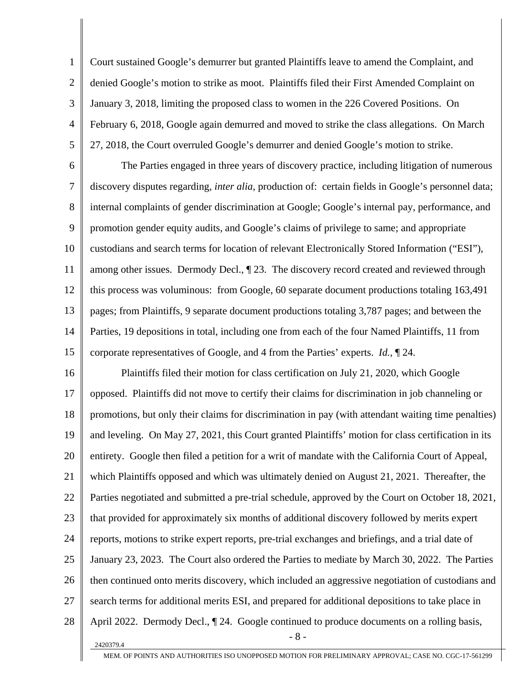1 2 3 4 5 Court sustained Google's demurrer but granted Plaintiffs leave to amend the Complaint, and denied Google's motion to strike as moot. Plaintiffs filed their First Amended Complaint on January 3, 2018, limiting the proposed class to women in the 226 Covered Positions. On February 6, 2018, Google again demurred and moved to strike the class allegations. On March 27, 2018, the Court overruled Google's demurrer and denied Google's motion to strike.

6 7 8 9 10 11 12 13 14 15 The Parties engaged in three years of discovery practice, including litigation of numerous discovery disputes regarding, *inter alia*, production of: certain fields in Google's personnel data; internal complaints of gender discrimination at Google; Google's internal pay, performance, and promotion gender equity audits, and Google's claims of privilege to same; and appropriate custodians and search terms for location of relevant Electronically Stored Information ("ESI"), among other issues. Dermody Decl., ¶ 23. The discovery record created and reviewed through this process was voluminous: from Google, 60 separate document productions totaling 163,491 pages; from Plaintiffs, 9 separate document productions totaling 3,787 pages; and between the Parties, 19 depositions in total, including one from each of the four Named Plaintiffs, 11 from corporate representatives of Google, and 4 from the Parties' experts. *Id.*, ¶ 24.

16 17 18 19 20 21 22 23 24 25 26 27 28  $-8 - 2420379.4$ Plaintiffs filed their motion for class certification on July 21, 2020, which Google opposed. Plaintiffs did not move to certify their claims for discrimination in job channeling or promotions, but only their claims for discrimination in pay (with attendant waiting time penalties) and leveling. On May 27, 2021, this Court granted Plaintiffs' motion for class certification in its entirety. Google then filed a petition for a writ of mandate with the California Court of Appeal, which Plaintiffs opposed and which was ultimately denied on August 21, 2021. Thereafter, the Parties negotiated and submitted a pre-trial schedule, approved by the Court on October 18, 2021, that provided for approximately six months of additional discovery followed by merits expert reports, motions to strike expert reports, pre-trial exchanges and briefings, and a trial date of January 23, 2023. The Court also ordered the Parties to mediate by March 30, 2022. The Parties then continued onto merits discovery, which included an aggressive negotiation of custodians and search terms for additional merits ESI, and prepared for additional depositions to take place in April 2022. Dermody Decl.,  $\P$  24. Google continued to produce documents on a rolling basis,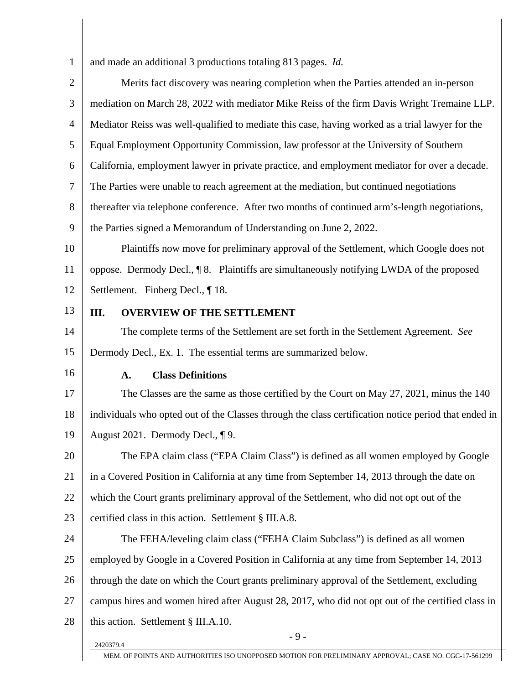1 2 3 4 5 6 7 8 9 10 11 12 13 14 15 16 17 18 19 20 21 22 23 24 25 26 27 28  $2420379.4$ and made an additional 3 productions totaling 813 pages. *Id.* Merits fact discovery was nearing completion when the Parties attended an in-person mediation on March 28, 2022 with mediator Mike Reiss of the firm Davis Wright Tremaine LLP. Mediator Reiss was well-qualified to mediate this case, having worked as a trial lawyer for the Equal Employment Opportunity Commission, law professor at the University of Southern California, employment lawyer in private practice, and employment mediator for over a decade. The Parties were unable to reach agreement at the mediation, but continued negotiations thereafter via telephone conference. After two months of continued arm's-length negotiations, the Parties signed a Memorandum of Understanding on June 2, 2022. Plaintiffs now move for preliminary approval of the Settlement, which Google does not oppose. Dermody Decl., ¶ 8. Plaintiffs are simultaneously notifying LWDA of the proposed Settlement. Finberg Decl., ¶ 18. **III. OVERVIEW OF THE SETTLEMENT**  The complete terms of the Settlement are set forth in the Settlement Agreement. *See* Dermody Decl., Ex. 1. The essential terms are summarized below. **A. Class Definitions**  The Classes are the same as those certified by the Court on May 27, 2021, minus the 140 individuals who opted out of the Classes through the class certification notice period that ended in August 2021. Dermody Decl., ¶ 9. The EPA claim class ("EPA Claim Class") is defined as all women employed by Google in a Covered Position in California at any time from September 14, 2013 through the date on which the Court grants preliminary approval of the Settlement, who did not opt out of the certified class in this action. Settlement § III.A.8. The FEHA/leveling claim class ("FEHA Claim Subclass") is defined as all women employed by Google in a Covered Position in California at any time from September 14, 2013 through the date on which the Court grants preliminary approval of the Settlement, excluding campus hires and women hired after August 28, 2017, who did not opt out of the certified class in this action. Settlement § III.A.10.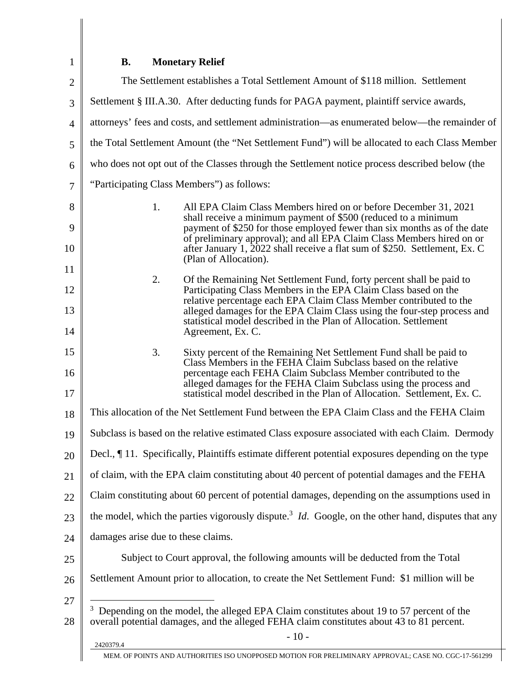# **B. Monetary Relief**

1

| $\overline{2}$ | The Settlement establishes a Total Settlement Amount of \$118 million. Settlement                                                                                                                                                                                                                 |  |  |
|----------------|---------------------------------------------------------------------------------------------------------------------------------------------------------------------------------------------------------------------------------------------------------------------------------------------------|--|--|
| 3              | Settlement § III.A.30. After deducting funds for PAGA payment, plaintiff service awards,                                                                                                                                                                                                          |  |  |
| $\overline{4}$ | attorneys' fees and costs, and settlement administration—as enumerated below—the remainder of                                                                                                                                                                                                     |  |  |
| 5              | the Total Settlement Amount (the "Net Settlement Fund") will be allocated to each Class Member                                                                                                                                                                                                    |  |  |
| 6              | who does not opt out of the Classes through the Settlement notice process described below (the                                                                                                                                                                                                    |  |  |
| $\overline{7}$ | "Participating Class Members") as follows:                                                                                                                                                                                                                                                        |  |  |
| 8              | 1.<br>All EPA Claim Class Members hired on or before December 31, 2021                                                                                                                                                                                                                            |  |  |
| 9<br>10        | shall receive a minimum payment of \$500 (reduced to a minimum<br>payment of \$250 for those employed fewer than six months as of the date<br>of preliminary approval); and all EPA Claim Class Members hired on or<br>after January 1, 2022 shall receive a flat sum of \$250. Settlement, Ex. C |  |  |
| 11             | (Plan of Allocation).                                                                                                                                                                                                                                                                             |  |  |
| 12             | 2.<br>Of the Remaining Net Settlement Fund, forty percent shall be paid to<br>Participating Class Members in the EPA Claim Class based on the                                                                                                                                                     |  |  |
| 13             | relative percentage each EPA Claim Class Member contributed to the<br>alleged damages for the EPA Claim Class using the four-step process and                                                                                                                                                     |  |  |
| 14             | statistical model described in the Plan of Allocation. Settlement<br>Agreement, Ex. C.                                                                                                                                                                                                            |  |  |
| 15             | 3.<br>Sixty percent of the Remaining Net Settlement Fund shall be paid to<br>Class Members in the FEHA Claim Subclass based on the relative                                                                                                                                                       |  |  |
| 16<br>17       | percentage each FEHA Claim Subclass Member contributed to the<br>alleged damages for the FEHA Claim Subclass using the process and<br>statistical model described in the Plan of Allocation. Settlement, Ex. C.                                                                                   |  |  |
| 18             | This allocation of the Net Settlement Fund between the EPA Claim Class and the FEHA Claim                                                                                                                                                                                                         |  |  |
| 19             | Subclass is based on the relative estimated Class exposure associated with each Claim. Dermody                                                                                                                                                                                                    |  |  |
| 20             | Decl., ¶ 11. Specifically, Plaintiffs estimate different potential exposures depending on the type                                                                                                                                                                                                |  |  |
| 21             | of claim, with the EPA claim constituting about 40 percent of potential damages and the FEHA                                                                                                                                                                                                      |  |  |
| 22             | Claim constituting about 60 percent of potential damages, depending on the assumptions used in                                                                                                                                                                                                    |  |  |
| 23             | the model, which the parties vigorously dispute. <sup>3</sup> <i>Id</i> . Google, on the other hand, disputes that any                                                                                                                                                                            |  |  |
| 24             | damages arise due to these claims.                                                                                                                                                                                                                                                                |  |  |
| 25             | Subject to Court approval, the following amounts will be deducted from the Total                                                                                                                                                                                                                  |  |  |
| 26             | Settlement Amount prior to allocation, to create the Net Settlement Fund: \$1 million will be                                                                                                                                                                                                     |  |  |
| 27<br>28       | <sup>3</sup> Depending on the model, the alleged EPA Claim constitutes about 19 to 57 percent of the<br>overall potential damages, and the alleged FEHA claim constitutes about 43 to 81 percent.                                                                                                 |  |  |
|                | $-10-$<br>2420379.4                                                                                                                                                                                                                                                                               |  |  |
|                | MEM. OF POINTS AND AUTHORITIES ISO UNOPPOSED MOTION FOR PRELIMINARY APPROVAL; CASE NO. CGC-17-561299                                                                                                                                                                                              |  |  |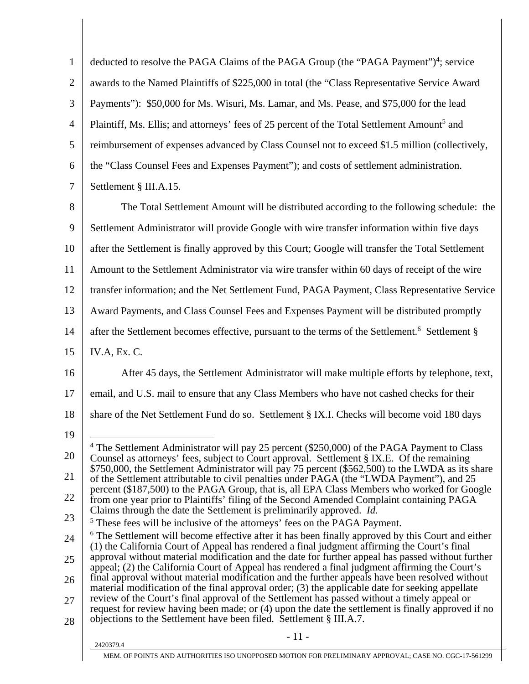| $\mathbf{1}$   | deducted to resolve the PAGA Claims of the PAGA Group (the "PAGA Payment") <sup>4</sup> ; service                                                                                                             |
|----------------|---------------------------------------------------------------------------------------------------------------------------------------------------------------------------------------------------------------|
| $\overline{2}$ | awards to the Named Plaintiffs of \$225,000 in total (the "Class Representative Service Award                                                                                                                 |
| 3              | Payments"): \$50,000 for Ms. Wisuri, Ms. Lamar, and Ms. Pease, and \$75,000 for the lead                                                                                                                      |
| $\overline{4}$ | Plaintiff, Ms. Ellis; and attorneys' fees of 25 percent of the Total Settlement Amount <sup>5</sup> and                                                                                                       |
| 5              | reimbursement of expenses advanced by Class Counsel not to exceed \$1.5 million (collectively,                                                                                                                |
| 6              | the "Class Counsel Fees and Expenses Payment"); and costs of settlement administration.                                                                                                                       |
| $\overline{7}$ | Settlement § III.A.15.                                                                                                                                                                                        |
| 8              | The Total Settlement Amount will be distributed according to the following schedule: the                                                                                                                      |
| 9              | Settlement Administrator will provide Google with wire transfer information within five days                                                                                                                  |
| 10             | after the Settlement is finally approved by this Court; Google will transfer the Total Settlement                                                                                                             |
| 11             | Amount to the Settlement Administrator via wire transfer within 60 days of receipt of the wire                                                                                                                |
| 12             | transfer information; and the Net Settlement Fund, PAGA Payment, Class Representative Service                                                                                                                 |
| 13             | Award Payments, and Class Counsel Fees and Expenses Payment will be distributed promptly                                                                                                                      |
| 14             | after the Settlement becomes effective, pursuant to the terms of the Settlement. <sup>6</sup> Settlement §                                                                                                    |
| 15             | IV.A, Ex. C.                                                                                                                                                                                                  |
| 16             | After 45 days, the Settlement Administrator will make multiple efforts by telephone, text,                                                                                                                    |
| 17             | email, and U.S. mail to ensure that any Class Members who have not cashed checks for their                                                                                                                    |
| 18             | share of the Net Settlement Fund do so. Settlement § IX.I. Checks will become void 180 days                                                                                                                   |
| 19             |                                                                                                                                                                                                               |
| 20             | $4$ The Settlement Administrator will pay 25 percent (\$250,000) of the PAGA Payment to Class<br>Counsel as attorneys' fees, subject to Court approval. Settlement § IX.E. Of the remaining                   |
| 21             | \$750,000, the Settlement Administrator will pay 75 percent (\$562,500) to the LWDA as its share<br>of the Settlement attributable to civil penalties under PAGA (the "LWDA Payment"), and 25                 |
| 22             | percent (\$187,500) to the PAGA Group, that is, all EPA Class Members who worked for Google<br>from one year prior to Plaintiffs' filing of the Second Amended Complaint containing PAGA                      |
| 23             | Claims through the date the Settlement is preliminarily approved. <i>Id.</i><br><sup>5</sup> These fees will be inclusive of the attorneys' fees on the PAGA Payment.                                         |
| 24             | <sup>6</sup> The Settlement will become effective after it has been finally approved by this Court and either<br>(1) the California Court of Appeal has rendered a final judgment affirming the Court's final |
| 25             | approval without material modification and the date for further appeal has passed without further<br>appeal; (2) the California Court of Appeal has rendered a final judgment affirming the Court's           |
| 26             | final approval without material modification and the further appeals have been resolved without<br>material modification of the final approval order; (3) the applicable date for seeking appellate           |
| 27             | review of the Court's final approval of the Settlement has passed without a timely appeal or<br>request for review having been made; or (4) upon the date the settlement is finally approved if no            |
| 28             | objections to the Settlement have been filed. Settlement § III.A.7.                                                                                                                                           |
|                | $-11-$<br>2420379.4                                                                                                                                                                                           |
|                | MEM. OF POINTS AND AUTHORITIES ISO UNOPPOSED MOTION FOR PRELIMINARY APPROVAL; CASE NO. CGC-17-561299                                                                                                          |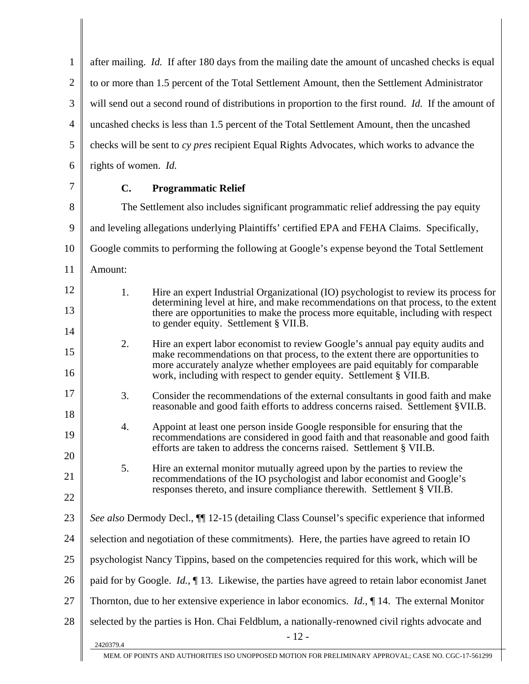| $\mathbf{1}$   | after mailing. <i>Id.</i> If after 180 days from the mailing date the amount of uncashed checks is equal                                                                                                                                      |  |  |
|----------------|-----------------------------------------------------------------------------------------------------------------------------------------------------------------------------------------------------------------------------------------------|--|--|
| $\overline{2}$ | to or more than 1.5 percent of the Total Settlement Amount, then the Settlement Administrator                                                                                                                                                 |  |  |
| 3              | will send out a second round of distributions in proportion to the first round. Id. If the amount of                                                                                                                                          |  |  |
| $\overline{4}$ | uncashed checks is less than 1.5 percent of the Total Settlement Amount, then the uncashed                                                                                                                                                    |  |  |
| 5              | checks will be sent to cy pres recipient Equal Rights Advocates, which works to advance the                                                                                                                                                   |  |  |
| 6              | rights of women. Id.                                                                                                                                                                                                                          |  |  |
| 7              | $C_{\bullet}$<br><b>Programmatic Relief</b>                                                                                                                                                                                                   |  |  |
| 8              | The Settlement also includes significant programmatic relief addressing the pay equity                                                                                                                                                        |  |  |
| 9              | and leveling allegations underlying Plaintiffs' certified EPA and FEHA Claims. Specifically,                                                                                                                                                  |  |  |
| 10             | Google commits to performing the following at Google's expense beyond the Total Settlement                                                                                                                                                    |  |  |
| 11             | Amount:                                                                                                                                                                                                                                       |  |  |
| 12             | 1.<br>Hire an expert Industrial Organizational (IO) psychologist to review its process for<br>determining level at hire, and make recommendations on that process, to the extent                                                              |  |  |
| 13             | there are opportunities to make the process more equitable, including with respect<br>to gender equity. Settlement § VII.B.                                                                                                                   |  |  |
| 14             | 2.<br>Hire an expert labor economist to review Google's annual pay equity audits and                                                                                                                                                          |  |  |
| 15<br>16       | make recommendations on that process, to the extent there are opportunities to<br>more accurately analyze whether employees are paid equitably for comparable<br>work, including with respect to gender equity. Settlement § VII.B.           |  |  |
| 17<br>18       | 3.<br>Consider the recommendations of the external consultants in good faith and make<br>reasonable and good faith efforts to address concerns raised. Settlement §VII.B.                                                                     |  |  |
| 19             | 4.<br>Appoint at least one person inside Google responsible for ensuring that the<br>recommendations are considered in good faith and that reasonable and good faith<br>efforts are taken to address the concerns raised. Settlement § VII.B. |  |  |
| 20             | 5.<br>Hire an external monitor mutually agreed upon by the parties to review the                                                                                                                                                              |  |  |
| 21             | recommendations of the IO psychologist and labor economist and Google's<br>responses thereto, and insure compliance therewith. Settlement § VII.B.                                                                                            |  |  |
| 22             |                                                                                                                                                                                                                                               |  |  |
| 23             | See also Dermody Decl., II 12-15 (detailing Class Counsel's specific experience that informed                                                                                                                                                 |  |  |
| 24             | selection and negotiation of these commitments). Here, the parties have agreed to retain IO                                                                                                                                                   |  |  |
| 25             | psychologist Nancy Tippins, based on the competencies required for this work, which will be                                                                                                                                                   |  |  |
| 26             | paid for by Google. <i>Id.</i> , $\P$ 13. Likewise, the parties have agreed to retain labor economist Janet                                                                                                                                   |  |  |
| 27             | Thornton, due to her extensive experience in labor economics. <i>Id.</i> , $\P$ 14. The external Monitor                                                                                                                                      |  |  |
| 28             | selected by the parties is Hon. Chai Feldblum, a nationally-renowned civil rights advocate and<br>$-12-$                                                                                                                                      |  |  |
|                | 2420379.4<br>MEM. OF POINTS AND AUTHORITIES ISO UNOPPOSED MOTION FOR PRELIMINARY APPROVAL; CASE NO. CGC-17-561299                                                                                                                             |  |  |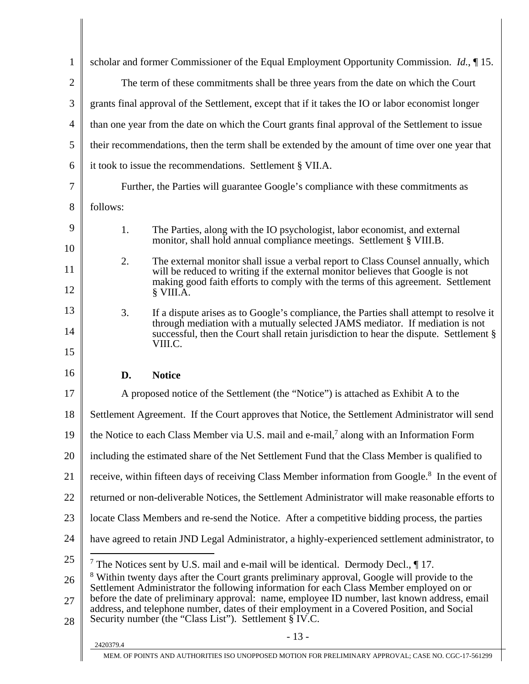| $\mathbf{1}$   | scholar and former Commissioner of the Equal Employment Opportunity Commission. Id., 15.              |                                                                                                                                                                                                                                                                   |  |
|----------------|-------------------------------------------------------------------------------------------------------|-------------------------------------------------------------------------------------------------------------------------------------------------------------------------------------------------------------------------------------------------------------------|--|
| $\overline{2}$ | The term of these commitments shall be three years from the date on which the Court                   |                                                                                                                                                                                                                                                                   |  |
| 3              | grants final approval of the Settlement, except that if it takes the IO or labor economist longer     |                                                                                                                                                                                                                                                                   |  |
| $\overline{4}$ | than one year from the date on which the Court grants final approval of the Settlement to issue       |                                                                                                                                                                                                                                                                   |  |
| 5              |                                                                                                       | their recommendations, then the term shall be extended by the amount of time over one year that                                                                                                                                                                   |  |
| 6              |                                                                                                       | it took to issue the recommendations. Settlement § VII.A.                                                                                                                                                                                                         |  |
| 7              |                                                                                                       | Further, the Parties will guarantee Google's compliance with these commitments as                                                                                                                                                                                 |  |
| 8              | follows:                                                                                              |                                                                                                                                                                                                                                                                   |  |
| 9<br>10        | 1.                                                                                                    | The Parties, along with the IO psychologist, labor economist, and external<br>monitor, shall hold annual compliance meetings. Settlement § VIII.B.                                                                                                                |  |
|                | 2.                                                                                                    | The external monitor shall issue a verbal report to Class Counsel annually, which                                                                                                                                                                                 |  |
| 11<br>12       |                                                                                                       | will be reduced to writing if the external monitor believes that Google is not<br>making good faith efforts to comply with the terms of this agreement. Settlement<br>§ VIII.A.                                                                                   |  |
| 13             | 3.                                                                                                    |                                                                                                                                                                                                                                                                   |  |
| 14             |                                                                                                       | If a dispute arises as to Google's compliance, the Parties shall attempt to resolve it<br>through mediation with a mutually selected JAMS mediator. If mediation is not<br>successful, then the Court shall retain jurisdiction to hear the dispute. Settlement § |  |
| 15             |                                                                                                       | VIII.C.                                                                                                                                                                                                                                                           |  |
| 16             | D.                                                                                                    | <b>Notice</b>                                                                                                                                                                                                                                                     |  |
| 17             |                                                                                                       | A proposed notice of the Settlement (the "Notice") is attached as Exhibit A to the                                                                                                                                                                                |  |
| 18             |                                                                                                       | Settlement Agreement. If the Court approves that Notice, the Settlement Administrator will send                                                                                                                                                                   |  |
|                | the Notice to each Class Member via U.S. mail and e-mail, <sup>7</sup> along with an Information Form |                                                                                                                                                                                                                                                                   |  |
|                |                                                                                                       |                                                                                                                                                                                                                                                                   |  |
| 20             |                                                                                                       | including the estimated share of the Net Settlement Fund that the Class Member is qualified to                                                                                                                                                                    |  |
| 21             |                                                                                                       | receive, within fifteen days of receiving Class Member information from Google. <sup>8</sup> In the event of                                                                                                                                                      |  |
|                |                                                                                                       | returned or non-deliverable Notices, the Settlement Administrator will make reasonable efforts to                                                                                                                                                                 |  |
| 23             |                                                                                                       | locate Class Members and re-send the Notice. After a competitive bidding process, the parties                                                                                                                                                                     |  |
| 19<br>22<br>24 |                                                                                                       | have agreed to retain JND Legal Administrator, a highly-experienced settlement administrator, to                                                                                                                                                                  |  |
|                |                                                                                                       | <sup>7</sup> The Notices sent by U.S. mail and e-mail will be identical. Dermody Decl., $\P$ 17.                                                                                                                                                                  |  |
| 25<br>26       |                                                                                                       | <sup>8</sup> Within twenty days after the Court grants preliminary approval, Google will provide to the<br>Settlement Administrator the following information for each Class Member employed on or                                                                |  |
| 27<br>28       |                                                                                                       | before the date of preliminary approval: name, employee ID number, last known address, email<br>address, and telephone number, dates of their employment in a Covered Position, and Social<br>Security number (the "Class List"). Settlement § IV.C.              |  |
|                | 2420379.4                                                                                             | $-13-$                                                                                                                                                                                                                                                            |  |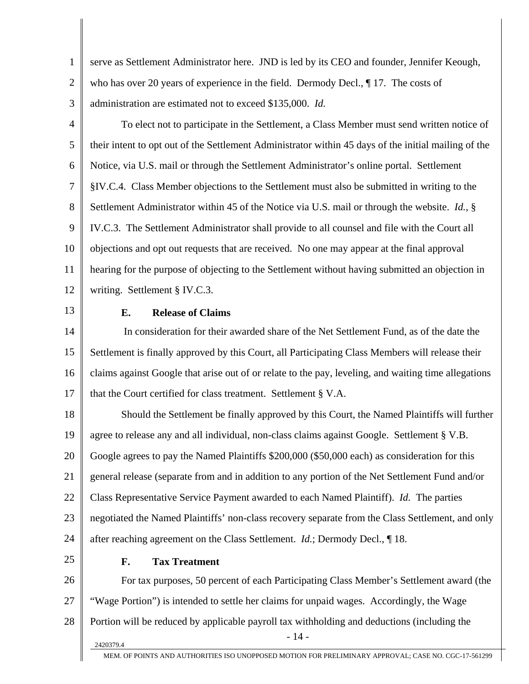1 2 3 serve as Settlement Administrator here. JND is led by its CEO and founder, Jennifer Keough, who has over 20 years of experience in the field. Dermody Decl.,  $\P$  17. The costs of administration are estimated not to exceed \$135,000. *Id.*

4 5 6 7 8 9 10 11 12 To elect not to participate in the Settlement, a Class Member must send written notice of their intent to opt out of the Settlement Administrator within 45 days of the initial mailing of the Notice, via U.S. mail or through the Settlement Administrator's online portal. Settlement §IV.C.4. Class Member objections to the Settlement must also be submitted in writing to the Settlement Administrator within 45 of the Notice via U.S. mail or through the website. *Id.*, § IV.C.3. The Settlement Administrator shall provide to all counsel and file with the Court all objections and opt out requests that are received. No one may appear at the final approval hearing for the purpose of objecting to the Settlement without having submitted an objection in writing. Settlement § IV.C.3.

13

#### **E. Release of Claims**

14 15 16 17 In consideration for their awarded share of the Net Settlement Fund, as of the date the Settlement is finally approved by this Court, all Participating Class Members will release their claims against Google that arise out of or relate to the pay, leveling, and waiting time allegations that the Court certified for class treatment. Settlement § V.A.

18 19 20 21 22 23 24 Should the Settlement be finally approved by this Court, the Named Plaintiffs will further agree to release any and all individual, non-class claims against Google. Settlement § V.B. Google agrees to pay the Named Plaintiffs \$200,000 (\$50,000 each) as consideration for this general release (separate from and in addition to any portion of the Net Settlement Fund and/or Class Representative Service Payment awarded to each Named Plaintiff). *Id.* The parties negotiated the Named Plaintiffs' non-class recovery separate from the Class Settlement, and only after reaching agreement on the Class Settlement. *Id.*; Dermody Decl., ¶ 18.

25

#### **F. Tax Treatment**

26 27 28  $2420379.4$  - 14 -For tax purposes, 50 percent of each Participating Class Member's Settlement award (the "Wage Portion") is intended to settle her claims for unpaid wages. Accordingly, the Wage Portion will be reduced by applicable payroll tax withholding and deductions (including the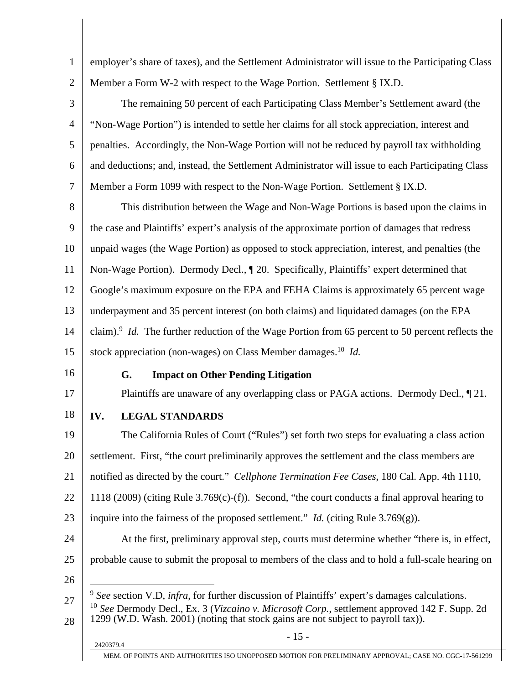1 2 employer's share of taxes), and the Settlement Administrator will issue to the Participating Class Member a Form W-2 with respect to the Wage Portion. Settlement § IX.D.

3 4 5 6 7 The remaining 50 percent of each Participating Class Member's Settlement award (the "Non-Wage Portion") is intended to settle her claims for all stock appreciation, interest and penalties. Accordingly, the Non-Wage Portion will not be reduced by payroll tax withholding and deductions; and, instead, the Settlement Administrator will issue to each Participating Class Member a Form 1099 with respect to the Non-Wage Portion. Settlement § IX.D.

8 9 10 11 12 13 14 15 This distribution between the Wage and Non-Wage Portions is based upon the claims in the case and Plaintiffs' expert's analysis of the approximate portion of damages that redress unpaid wages (the Wage Portion) as opposed to stock appreciation, interest, and penalties (the Non-Wage Portion). Dermody Decl., ¶ 20. Specifically, Plaintiffs' expert determined that Google's maximum exposure on the EPA and FEHA Claims is approximately 65 percent wage underpayment and 35 percent interest (on both claims) and liquidated damages (on the EPA claim).<sup>9</sup> *Id.* The further reduction of the Wage Portion from 65 percent to 50 percent reflects the stock appreciation (non-wages) on Class Member damages.<sup>10</sup> *Id.* 

16

17

#### **G. Impact on Other Pending Litigation**

Plaintiffs are unaware of any overlapping class or PAGA actions. Dermody Decl., ¶ 21.

18 **IV. LEGAL STANDARDS** 

19 20 21 22 23 24 25 The California Rules of Court ("Rules") set forth two steps for evaluating a class action settlement. First, "the court preliminarily approves the settlement and the class members are notified as directed by the court." *Cellphone Termination Fee Cases*, 180 Cal. App. 4th 1110, 1118 (2009) (citing Rule 3.769(c)-(f)). Second, "the court conducts a final approval hearing to inquire into the fairness of the proposed settlement." *Id.* (citing Rule 3.769 $(g)$ ). At the first, preliminary approval step, courts must determine whether "there is, in effect, probable cause to submit the proposal to members of the class and to hold a full-scale hearing on

26

 $\overline{a}$ 

<sup>27</sup>  28 <sup>9</sup> *See* section V.D, *infra*, for further discussion of Plaintiffs' expert's damages calculations. <sup>10</sup> *See* Dermody Decl., Ex. 3 (*Vizcaino v. Microsoft Corp.*, settlement approved 142 F. Supp. 2d 1299 (W.D. Wash. 2001) (noting that stock gains are not subject to payroll tax)).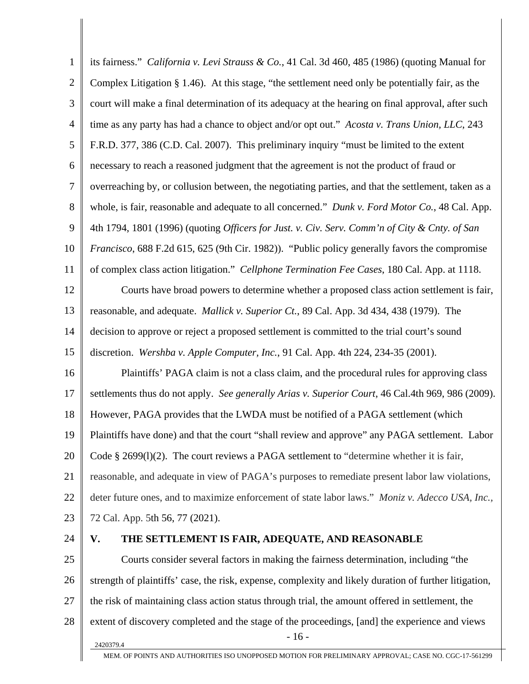| $\mathbf{1}$ | its fairness." California v. Levi Strauss & Co., 41 Cal. 3d 460, 485 (1986) (quoting Manual for                   |
|--------------|-------------------------------------------------------------------------------------------------------------------|
| $\mathbf{2}$ | Complex Litigation $\S 1.46$ ). At this stage, "the settlement need only be potentially fair, as the              |
| 3            | court will make a final determination of its adequacy at the hearing on final approval, after such                |
| 4            | time as any party has had a chance to object and/or opt out." Acosta v. Trans Union, LLC, 243                     |
| 5            | F.R.D. 377, 386 (C.D. Cal. 2007). This preliminary inquiry "must be limited to the extent                         |
| 6            | necessary to reach a reasoned judgment that the agreement is not the product of fraud or                          |
| 7            | overreaching by, or collusion between, the negotiating parties, and that the settlement, taken as a               |
| 8            | whole, is fair, reasonable and adequate to all concerned." Dunk v. Ford Motor Co., 48 Cal. App.                   |
| 9            | 4th 1794, 1801 (1996) (quoting Officers for Just. v. Civ. Serv. Comm'n of City & Cnty. of San                     |
| 10           | <i>Francisco</i> , 688 F.2d 615, 625 (9th Cir. 1982)). "Public policy generally favors the compromise             |
| 11           | of complex class action litigation." Cellphone Termination Fee Cases, 180 Cal. App. at 1118.                      |
| 12           | Courts have broad powers to determine whether a proposed class action settlement is fair,                         |
| 13           | reasonable, and adequate. <i>Mallick v. Superior Ct.</i> , 89 Cal. App. 3d 434, 438 (1979). The                   |
| 14           | decision to approve or reject a proposed settlement is committed to the trial court's sound                       |
| 15           | discretion. Wershba v. Apple Computer, Inc., 91 Cal. App. 4th 224, 234-35 (2001).                                 |
| 16           | Plaintiffs' PAGA claim is not a class claim, and the procedural rules for approving class                         |
| 17           | settlements thus do not apply. See generally Arias v. Superior Court, 46 Cal.4th 969, 986 (2009).                 |
| 18           | However, PAGA provides that the LWDA must be notified of a PAGA settlement (which                                 |
| 19           | Plaintiffs have done) and that the court "shall review and approve" any PAGA settlement. Labor                    |
| 20           | Code $\S$ 2699(1)(2). The court reviews a PAGA settlement to "determine whether it is fair,                       |
| 21           | reasonable, and adequate in view of PAGA's purposes to remediate present labor law violations,                    |
| 22           | deter future ones, and to maximize enforcement of state labor laws." Moniz v. Adecco USA, Inc.,                   |
| 23           | 72 Cal. App. 5th 56, 77 (2021).                                                                                   |
| 24           | THE SETTLEMENT IS FAIR, ADEQUATE, AND REASONABLE<br>V.                                                            |
| 25           | Courts consider several factors in making the fairness determination, including "the                              |
| 26           | strength of plaintiffs' case, the risk, expense, complexity and likely duration of further litigation,            |
| 27           | the risk of maintaining class action status through trial, the amount offered in settlement, the                  |
| 28           | extent of discovery completed and the stage of the proceedings, [and] the experience and views<br>$-16-$          |
|              | 2420379.4<br>MEM. OF POINTS AND AUTHORITIES ISO UNOPPOSED MOTION FOR PRELIMINARY APPROVAL; CASE NO. CGC-17-561299 |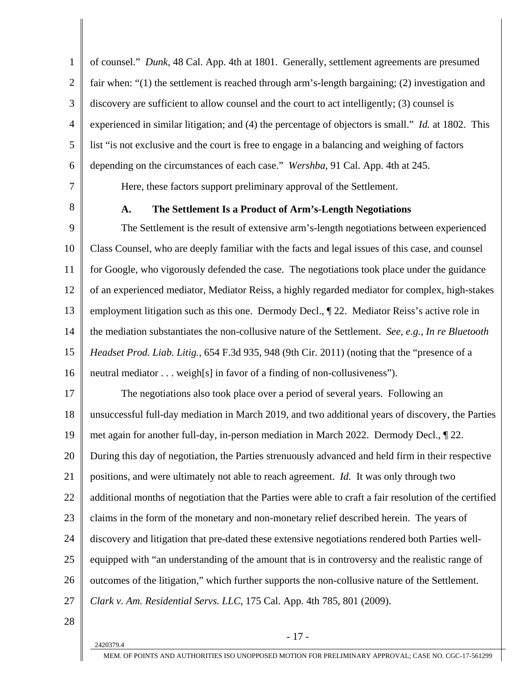1 2 3 4 5 6 of counsel." *Dunk*, 48 Cal. App. 4th at 1801. Generally, settlement agreements are presumed fair when: "(1) the settlement is reached through arm's-length bargaining; (2) investigation and discovery are sufficient to allow counsel and the court to act intelligently; (3) counsel is experienced in similar litigation; and (4) the percentage of objectors is small." *Id.* at 1802. This list "is not exclusive and the court is free to engage in a balancing and weighing of factors depending on the circumstances of each case." *Wershba*, 91 Cal. App. 4th at 245.

7 8

#### **A. The Settlement Is a Product of Arm's-Length Negotiations**

Here, these factors support preliminary approval of the Settlement.

9 10 11 12 13 14 15 16 The Settlement is the result of extensive arm's-length negotiations between experienced Class Counsel, who are deeply familiar with the facts and legal issues of this case, and counsel for Google, who vigorously defended the case. The negotiations took place under the guidance of an experienced mediator, Mediator Reiss, a highly regarded mediator for complex, high-stakes employment litigation such as this one. Dermody Decl., ¶ 22. Mediator Reiss's active role in the mediation substantiates the non-collusive nature of the Settlement. *See, e.g.*, *In re Bluetooth Headset Prod. Liab. Litig.*, 654 F.3d 935, 948 (9th Cir. 2011) (noting that the "presence of a neutral mediator . . . weigh[s] in favor of a finding of non-collusiveness").

17 18 19 20 21 22 23 24 25 26 27 The negotiations also took place over a period of several years. Following an unsuccessful full-day mediation in March 2019, and two additional years of discovery, the Parties met again for another full-day, in-person mediation in March 2022. Dermody Decl., ¶ 22. During this day of negotiation, the Parties strenuously advanced and held firm in their respective positions, and were ultimately not able to reach agreement. *Id.* It was only through two additional months of negotiation that the Parties were able to craft a fair resolution of the certified claims in the form of the monetary and non-monetary relief described herein. The years of discovery and litigation that pre-dated these extensive negotiations rendered both Parties wellequipped with "an understanding of the amount that is in controversy and the realistic range of outcomes of the litigation," which further supports the non-collusive nature of the Settlement. *Clark v. Am. Residential Servs. LLC*, 175 Cal. App. 4th 785, 801 (2009).

28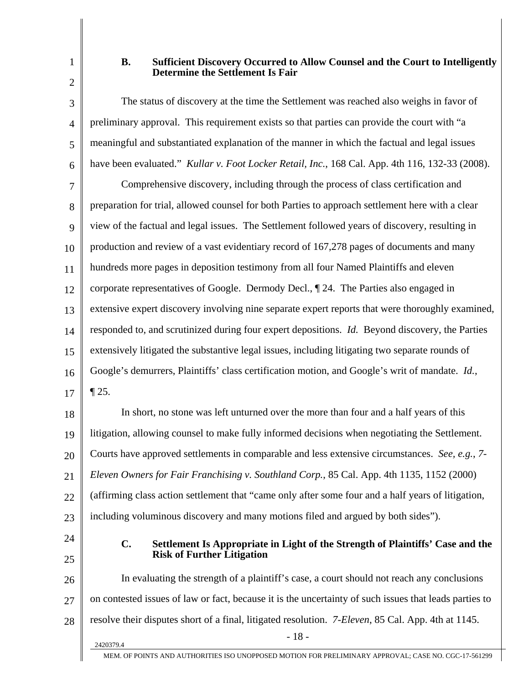2

1

#### **B. Sufficient Discovery Occurred to Allow Counsel and the Court to Intelligently Determine the Settlement Is Fair**

3 4 5 6 7 8 9 10 11 12 13 14 15 16 17 The status of discovery at the time the Settlement was reached also weighs in favor of preliminary approval.This requirement exists so that parties can provide the court with "a meaningful and substantiated explanation of the manner in which the factual and legal issues have been evaluated." *Kullar v. Foot Locker Retail, Inc.*, 168 Cal. App. 4th 116, 132-33 (2008). Comprehensive discovery, including through the process of class certification and preparation for trial, allowed counsel for both Parties to approach settlement here with a clear view of the factual and legal issues. The Settlement followed years of discovery, resulting in production and review of a vast evidentiary record of 167,278 pages of documents and many hundreds more pages in deposition testimony from all four Named Plaintiffs and eleven corporate representatives of Google. Dermody Decl., ¶ 24. The Parties also engaged in extensive expert discovery involving nine separate expert reports that were thoroughly examined, responded to, and scrutinized during four expert depositions. *Id.* Beyond discovery, the Parties extensively litigated the substantive legal issues, including litigating two separate rounds of Google's demurrers, Plaintiffs' class certification motion, and Google's writ of mandate. *Id.*, ¶ 25. In short, no stone was left unturned over the more than four and a half years of this

18 19 20 21 22 23 litigation, allowing counsel to make fully informed decisions when negotiating the Settlement. Courts have approved settlements in comparable and less extensive circumstances. *See, e.g.*, *7- Eleven Owners for Fair Franchising v. Southland Corp.*, 85 Cal. App. 4th 1135, 1152 (2000) (affirming class action settlement that "came only after some four and a half years of litigation, including voluminous discovery and many motions filed and argued by both sides").

24 25

#### **C. Settlement Is Appropriate in Light of the Strength of Plaintiffs' Case and the Risk of Further Litigation**

26 27 28  $2420379.4$  - 18 -In evaluating the strength of a plaintiff's case, a court should not reach any conclusions on contested issues of law or fact, because it is the uncertainty of such issues that leads parties to resolve their disputes short of a final, litigated resolution. *7-Eleven*, 85 Cal. App. 4th at 1145.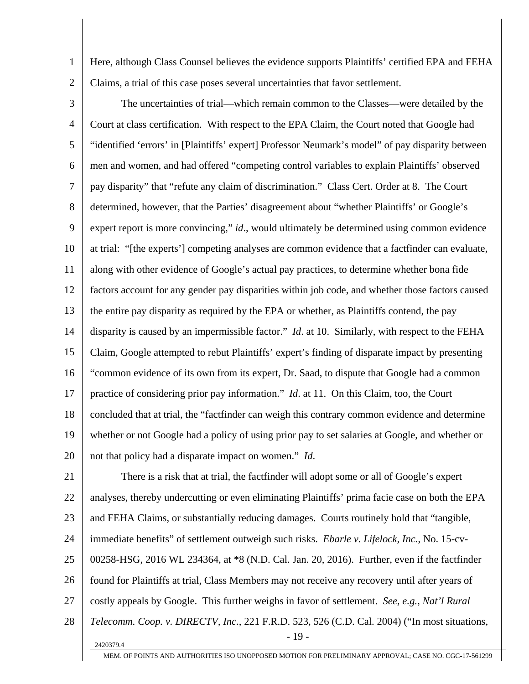1 2 Here, although Class Counsel believes the evidence supports Plaintiffs' certified EPA and FEHA Claims, a trial of this case poses several uncertainties that favor settlement.

3 4 5 6 7 8 9 10 11 12 13 14 15 16 17 18 19 20 The uncertainties of trial—which remain common to the Classes—were detailed by the Court at class certification. With respect to the EPA Claim, the Court noted that Google had "identified 'errors' in [Plaintiffs' expert] Professor Neumark's model" of pay disparity between men and women, and had offered "competing control variables to explain Plaintiffs' observed pay disparity" that "refute any claim of discrimination." Class Cert. Order at 8. The Court determined, however, that the Parties' disagreement about "whether Plaintiffs' or Google's expert report is more convincing," *id*., would ultimately be determined using common evidence at trial: "[the experts'] competing analyses are common evidence that a factfinder can evaluate, along with other evidence of Google's actual pay practices, to determine whether bona fide factors account for any gender pay disparities within job code, and whether those factors caused the entire pay disparity as required by the EPA or whether, as Plaintiffs contend, the pay disparity is caused by an impermissible factor." *Id*. at 10. Similarly, with respect to the FEHA Claim, Google attempted to rebut Plaintiffs' expert's finding of disparate impact by presenting "common evidence of its own from its expert, Dr. Saad, to dispute that Google had a common practice of considering prior pay information." *Id*. at 11. On this Claim, too, the Court concluded that at trial, the "factfinder can weigh this contrary common evidence and determine whether or not Google had a policy of using prior pay to set salaries at Google, and whether or not that policy had a disparate impact on women." *Id*.

21 22 23 24 25 26 27 28  $2420379.4$  - 19 -There is a risk that at trial, the factfinder will adopt some or all of Google's expert analyses, thereby undercutting or even eliminating Plaintiffs' prima facie case on both the EPA and FEHA Claims, or substantially reducing damages. Courts routinely hold that "tangible, immediate benefits" of settlement outweigh such risks. *Ebarle v. Lifelock, Inc.*, No. 15-cv-00258-HSG, 2016 WL 234364, at \*8 (N.D. Cal. Jan. 20, 2016). Further, even if the factfinder found for Plaintiffs at trial, Class Members may not receive any recovery until after years of costly appeals by Google. This further weighs in favor of settlement. *See, e.g.*, *Nat'l Rural Telecomm. Coop. v. DIRECTV, Inc.*, 221 F.R.D. 523, 526 (C.D. Cal. 2004) ("In most situations,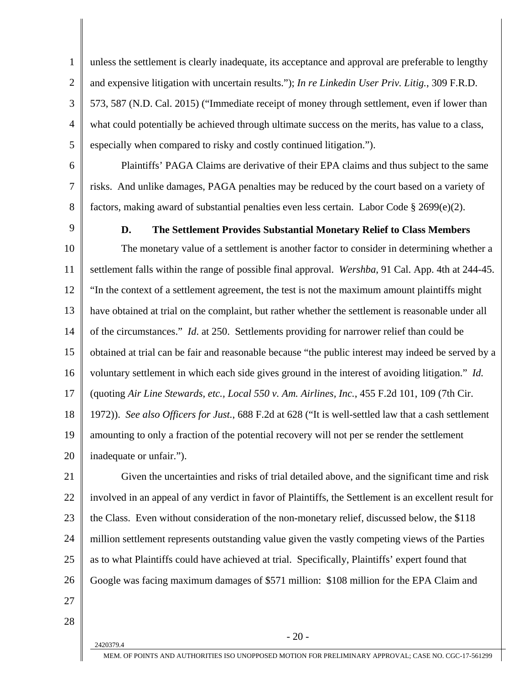1 2 3 4 5 unless the settlement is clearly inadequate, its acceptance and approval are preferable to lengthy and expensive litigation with uncertain results."); *In re Linkedin User Priv. Litig.*, 309 F.R.D. 573, 587 (N.D. Cal. 2015) ("Immediate receipt of money through settlement, even if lower than what could potentially be achieved through ultimate success on the merits, has value to a class, especially when compared to risky and costly continued litigation.").

6

7

8

Plaintiffs' PAGA Claims are derivative of their EPA claims and thus subject to the same risks. And unlike damages, PAGA penalties may be reduced by the court based on a variety of factors, making award of substantial penalties even less certain. Labor Code § 2699(e)(2).

9

#### **D. The Settlement Provides Substantial Monetary Relief to Class Members**

10 11 12 13 14 15 16 17 18 19 The monetary value of a settlement is another factor to consider in determining whether a settlement falls within the range of possible final approval. *Wershba*, 91 Cal. App. 4th at 244-45. "In the context of a settlement agreement, the test is not the maximum amount plaintiffs might have obtained at trial on the complaint, but rather whether the settlement is reasonable under all of the circumstances." *Id*. at 250. Settlements providing for narrower relief than could be obtained at trial can be fair and reasonable because "the public interest may indeed be served by a voluntary settlement in which each side gives ground in the interest of avoiding litigation." *Id.* (quoting *Air Line Stewards, etc., Local 550 v. Am. Airlines, Inc.*, 455 F.2d 101, 109 (7th Cir. 1972)). *See also Officers for Just.*, 688 F.2d at 628 ("It is well-settled law that a cash settlement amounting to only a fraction of the potential recovery will not per se render the settlement

20 inadequate or unfair.").

21 22 23 24 25 26 27 Given the uncertainties and risks of trial detailed above, and the significant time and risk involved in an appeal of any verdict in favor of Plaintiffs, the Settlement is an excellent result for the Class. Even without consideration of the non-monetary relief, discussed below, the \$118 million settlement represents outstanding value given the vastly competing views of the Parties as to what Plaintiffs could have achieved at trial. Specifically, Plaintiffs' expert found that Google was facing maximum damages of \$571 million: \$108 million for the EPA Claim and

28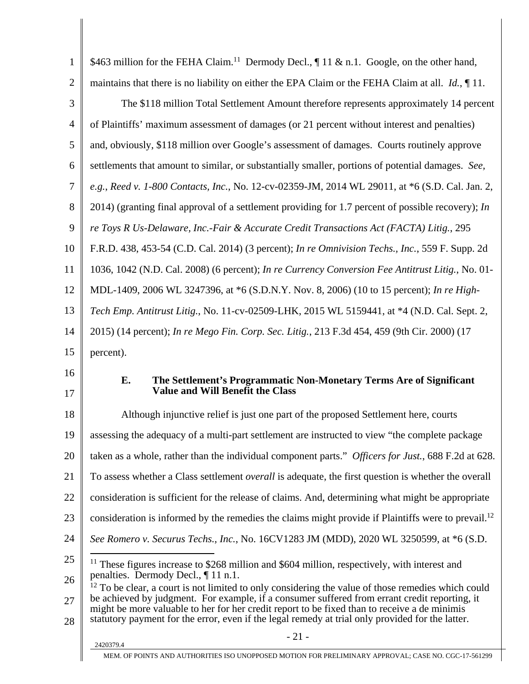| $\mathbf{1}$   | \$463 million for the FEHA Claim. <sup>11</sup> Dermody Decl., 11 & n.1. Google, on the other hand,                                                                                                                                                                                                                                                                                                       |
|----------------|-----------------------------------------------------------------------------------------------------------------------------------------------------------------------------------------------------------------------------------------------------------------------------------------------------------------------------------------------------------------------------------------------------------|
| $\overline{2}$ | maintains that there is no liability on either the EPA Claim or the FEHA Claim at all. $Id.$ , $\P$ 11.                                                                                                                                                                                                                                                                                                   |
| 3              | The \$118 million Total Settlement Amount therefore represents approximately 14 percent                                                                                                                                                                                                                                                                                                                   |
| 4              | of Plaintiffs' maximum assessment of damages (or 21 percent without interest and penalties)                                                                                                                                                                                                                                                                                                               |
| 5              | and, obviously, \$118 million over Google's assessment of damages. Courts routinely approve                                                                                                                                                                                                                                                                                                               |
| 6              | settlements that amount to similar, or substantially smaller, portions of potential damages. See,                                                                                                                                                                                                                                                                                                         |
| 7              | e.g., Reed v. 1-800 Contacts, Inc., No. 12-cv-02359-JM, 2014 WL 29011, at *6 (S.D. Cal. Jan. 2,                                                                                                                                                                                                                                                                                                           |
| 8              | 2014) (granting final approval of a settlement providing for 1.7 percent of possible recovery); In                                                                                                                                                                                                                                                                                                        |
| 9              | re Toys R Us-Delaware, Inc.-Fair & Accurate Credit Transactions Act (FACTA) Litig., 295                                                                                                                                                                                                                                                                                                                   |
| 10             | F.R.D. 438, 453-54 (C.D. Cal. 2014) (3 percent); <i>In re Omnivision Techs., Inc.</i> , 559 F. Supp. 2d                                                                                                                                                                                                                                                                                                   |
| 11             | 1036, 1042 (N.D. Cal. 2008) (6 percent); In re Currency Conversion Fee Antitrust Litig., No. 01-                                                                                                                                                                                                                                                                                                          |
| 12             | MDL-1409, 2006 WL 3247396, at *6 (S.D.N.Y. Nov. 8, 2006) (10 to 15 percent); In re High-                                                                                                                                                                                                                                                                                                                  |
| 13             | Tech Emp. Antitrust Litig., No. 11-cv-02509-LHK, 2015 WL 5159441, at *4 (N.D. Cal. Sept. 2,                                                                                                                                                                                                                                                                                                               |
| 14             | 2015) (14 percent); <i>In re Mego Fin. Corp. Sec. Litig.</i> , 213 F.3d 454, 459 (9th Cir. 2000) (17                                                                                                                                                                                                                                                                                                      |
|                |                                                                                                                                                                                                                                                                                                                                                                                                           |
| 15             | percent).                                                                                                                                                                                                                                                                                                                                                                                                 |
| 16             |                                                                                                                                                                                                                                                                                                                                                                                                           |
| 17             | Е.<br>The Settlement's Programmatic Non-Monetary Terms Are of Significant<br><b>Value and Will Benefit the Class</b>                                                                                                                                                                                                                                                                                      |
| 18             | Although injunctive relief is just one part of the proposed Settlement here, courts                                                                                                                                                                                                                                                                                                                       |
| 19             | assessing the adequacy of a multi-part settlement are instructed to view "the complete package                                                                                                                                                                                                                                                                                                            |
| 20             | taken as a whole, rather than the individual component parts." Officers for Just., 688 F.2d at 628.                                                                                                                                                                                                                                                                                                       |
| 21             | To assess whether a Class settlement <i>overall</i> is adequate, the first question is whether the overall                                                                                                                                                                                                                                                                                                |
| 22             | consideration is sufficient for the release of claims. And, determining what might be appropriate                                                                                                                                                                                                                                                                                                         |
| 23             | consideration is informed by the remedies the claims might provide if Plaintiffs were to prevail. <sup>12</sup>                                                                                                                                                                                                                                                                                           |
| 24             | See Romero v. Securus Techs., Inc., No. 16CV1283 JM (MDD), 2020 WL 3250599, at *6 (S.D.                                                                                                                                                                                                                                                                                                                   |
| 25             | $11$ These figures increase to \$268 million and \$604 million, respectively, with interest and<br>penalties. Dermody Decl., ¶ 11 n.1.                                                                                                                                                                                                                                                                    |
| 26<br>27<br>28 | $12$ To be clear, a court is not limited to only considering the value of those remedies which could<br>be achieved by judgment. For example, if a consumer suffered from errant credit reporting, it<br>might be more valuable to her for her credit report to be fixed than to receive a de minimis<br>statutory payment for the error, even if the legal remedy at trial only provided for the latter. |
|                | $-21-$<br>2420379.4                                                                                                                                                                                                                                                                                                                                                                                       |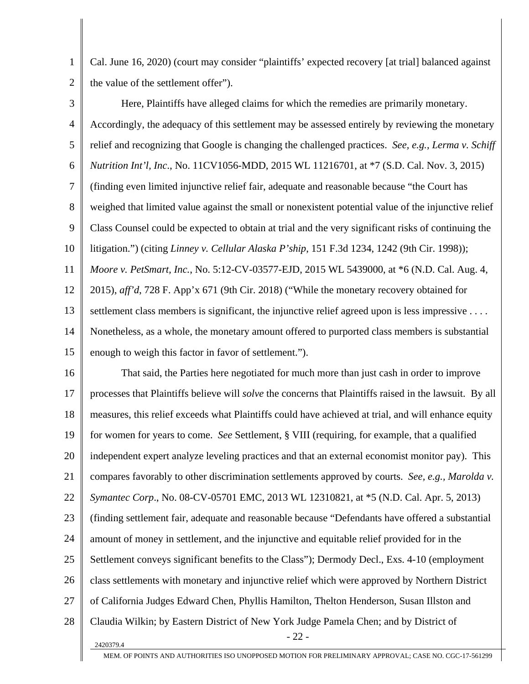2 Cal. June 16, 2020) (court may consider "plaintiffs' expected recovery [at trial] balanced against the value of the settlement offer").

1

3 4 5 6 7 8 9 10 11 12 13 14 15 Here, Plaintiffs have alleged claims for which the remedies are primarily monetary. Accordingly, the adequacy of this settlement may be assessed entirely by reviewing the monetary relief and recognizing that Google is changing the challenged practices. *See, e.g., Lerma v. Schiff Nutrition Int'l, Inc*., No. 11CV1056-MDD, 2015 WL 11216701, at \*7 (S.D. Cal. Nov. 3, 2015) (finding even limited injunctive relief fair, adequate and reasonable because "the Court has weighed that limited value against the small or nonexistent potential value of the injunctive relief Class Counsel could be expected to obtain at trial and the very significant risks of continuing the litigation.") (citing *Linney v. Cellular Alaska P'ship*, 151 F.3d 1234, 1242 (9th Cir. 1998)); *Moore v. PetSmart, Inc.*, No. 5:12-CV-03577-EJD, 2015 WL 5439000, at \*6 (N.D. Cal. Aug. 4, 2015), *aff'd*, 728 F. App'x 671 (9th Cir. 2018) ("While the monetary recovery obtained for settlement class members is significant, the injunctive relief agreed upon is less impressive . . . . Nonetheless, as a whole, the monetary amount offered to purported class members is substantial enough to weigh this factor in favor of settlement.").

16 17 18 19 20 21 22 23 24 25 26 27 28  $2420379.4$  - 22 -That said, the Parties here negotiated for much more than just cash in order to improve processes that Plaintiffs believe will *solve* the concerns that Plaintiffs raised in the lawsuit. By all measures, this relief exceeds what Plaintiffs could have achieved at trial, and will enhance equity for women for years to come. *See* Settlement, § VIII (requiring, for example, that a qualified independent expert analyze leveling practices and that an external economist monitor pay). This compares favorably to other discrimination settlements approved by courts. *See, e.g., Marolda v. Symantec Corp*., No. 08-CV-05701 EMC, 2013 WL 12310821, at \*5 (N.D. Cal. Apr. 5, 2013) (finding settlement fair, adequate and reasonable because "Defendants have offered a substantial amount of money in settlement, and the injunctive and equitable relief provided for in the Settlement conveys significant benefits to the Class"); Dermody Decl., Exs. 4-10 (employment class settlements with monetary and injunctive relief which were approved by Northern District of California Judges Edward Chen, Phyllis Hamilton, Thelton Henderson, Susan Illston and Claudia Wilkin; by Eastern District of New York Judge Pamela Chen; and by District of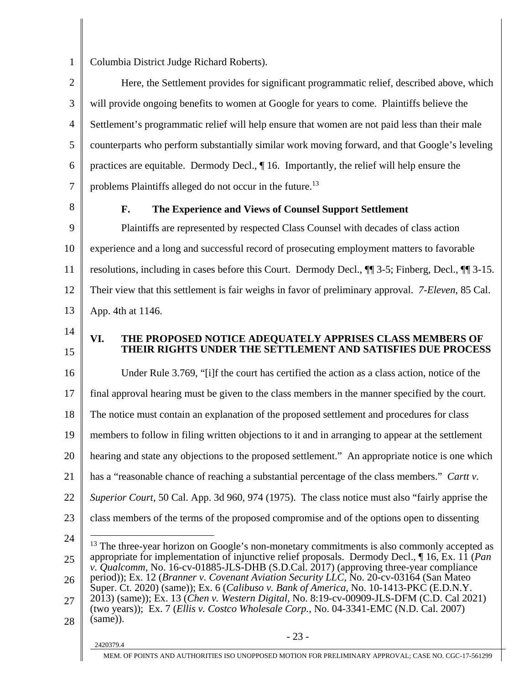1

Columbia District Judge Richard Roberts).

2 3 4 5 6 7 Here, the Settlement provides for significant programmatic relief, described above, which will provide ongoing benefits to women at Google for years to come. Plaintiffs believe the Settlement's programmatic relief will help ensure that women are not paid less than their male counterparts who perform substantially similar work moving forward, and that Google's leveling practices are equitable. Dermody Decl., ¶ 16. Importantly, the relief will help ensure the problems Plaintiffs alleged do not occur in the future.<sup>13</sup>

8

#### **F. The Experience and Views of Counsel Support Settlement**

9 10 11 12 13 Plaintiffs are represented by respected Class Counsel with decades of class action experience and a long and successful record of prosecuting employment matters to favorable resolutions, including in cases before this Court. Dermody Decl., ¶¶ 3-5; Finberg, Decl., ¶¶ 3-15. Their view that this settlement is fair weighs in favor of preliminary approval. *7-Eleven*, 85 Cal. App. 4th at 1146.

- 14
- 15

### **VI. THE PROPOSED NOTICE ADEQUATELY APPRISES CLASS MEMBERS OF THEIR RIGHTS UNDER THE SETTLEMENT AND SATISFIES DUE PROCESS**

16 17 18 19 20 21 22 23 24 Under Rule 3.769, "[i]f the court has certified the action as a class action, notice of the final approval hearing must be given to the class members in the manner specified by the court. The notice must contain an explanation of the proposed settlement and procedures for class members to follow in filing written objections to it and in arranging to appear at the settlement hearing and state any objections to the proposed settlement." An appropriate notice is one which has a "reasonable chance of reaching a substantial percentage of the class members." *Cartt v. Superior Court*, 50 Cal. App. 3d 960, 974 (1975). The class notice must also "fairly apprise the class members of the terms of the proposed compromise and of the options open to dissenting  $\overline{a}$ 

28

<sup>25</sup>  26 27 <sup>13</sup> The three-year horizon on Google's non-monetary commitments is also commonly accepted as appropriate for implementation of injunctive relief proposals. Dermody Decl., ¶ 16, Ex. 11 (*Pan v. Qualcomm,* No. 16-cv-01885-JLS-DHB (S.D.Cal. 2017) (approving three-year compliance period)); Ex. 12 (*Branner v. Covenant Aviation Security LLC,* No. 20-cv-03164 (San Mateo Super. Ct. 2020) (same)); Ex. 6 (*Calibuso v. Bank of America*, No. 10-1413-PKC (E.D.N.Y. 2013) (same)); Ex. 13 (*Chen v. Western Digital,* No. 8:19-cv-00909-JLS-DFM (C.D. Cal 2021) (two years)); Ex. 7 (*Ellis v. Costco Wholesale Corp.*, No. 04-3341-EMC (N.D. Cal. 2007) (same)).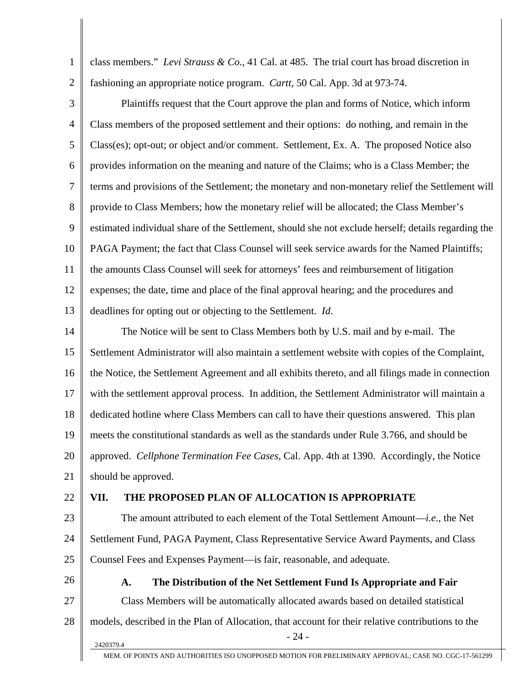1 2 3 4 5 6 7 8 9 10 11 12 13 14 15 16 17 18 19 20 21 22 23 24 25 26 27 28  $2420379.4$  - 24 class members." *Levi Strauss & Co.,* 41 Cal. at 485. The trial court has broad discretion in fashioning an appropriate notice program. *Cartt*, 50 Cal. App. 3d at 973-74. Plaintiffs request that the Court approve the plan and forms of Notice, which inform Class members of the proposed settlement and their options: do nothing, and remain in the Class(es); opt-out; or object and/or comment. Settlement, Ex. A. The proposed Notice also provides information on the meaning and nature of the Claims; who is a Class Member; the terms and provisions of the Settlement; the monetary and non-monetary relief the Settlement will provide to Class Members; how the monetary relief will be allocated; the Class Member's estimated individual share of the Settlement, should she not exclude herself; details regarding the PAGA Payment; the fact that Class Counsel will seek service awards for the Named Plaintiffs; the amounts Class Counsel will seek for attorneys' fees and reimbursement of litigation expenses; the date, time and place of the final approval hearing; and the procedures and deadlines for opting out or objecting to the Settlement. *Id*. The Notice will be sent to Class Members both by U.S. mail and by e-mail. The Settlement Administrator will also maintain a settlement website with copies of the Complaint, the Notice, the Settlement Agreement and all exhibits thereto, and all filings made in connection with the settlement approval process. In addition, the Settlement Administrator will maintain a dedicated hotline where Class Members can call to have their questions answered. This plan meets the constitutional standards as well as the standards under Rule 3.766, and should be approved. *Cellphone Termination Fee Cases*, Cal. App. 4th at 1390. Accordingly, the Notice should be approved. **VII. THE PROPOSED PLAN OF ALLOCATION IS APPROPRIATE**  The amount attributed to each element of the Total Settlement Amount—*i.e.*, the Net Settlement Fund, PAGA Payment, Class Representative Service Award Payments, and Class Counsel Fees and Expenses Payment—is fair, reasonable, and adequate. **A. The Distribution of the Net Settlement Fund Is Appropriate and Fair**  Class Members will be automatically allocated awards based on detailed statistical models, described in the Plan of Allocation, that account for their relative contributions to the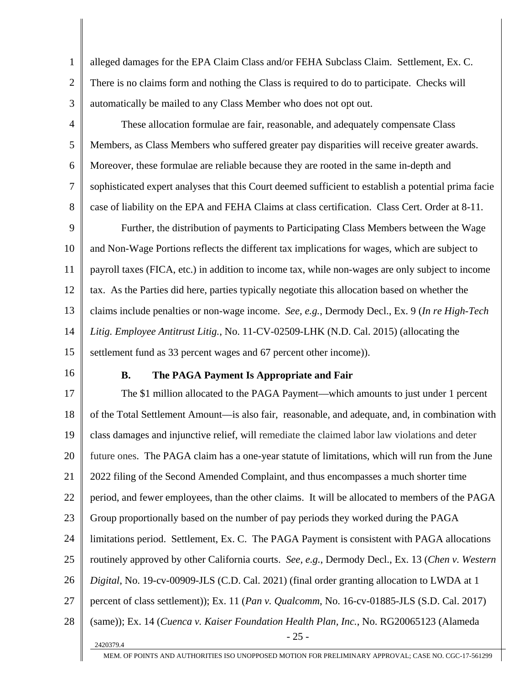1 2 3 alleged damages for the EPA Claim Class and/or FEHA Subclass Claim. Settlement, Ex. C. There is no claims form and nothing the Class is required to do to participate. Checks will automatically be mailed to any Class Member who does not opt out.

4 5 6 7 8 These allocation formulae are fair, reasonable, and adequately compensate Class Members, as Class Members who suffered greater pay disparities will receive greater awards. Moreover, these formulae are reliable because they are rooted in the same in-depth and sophisticated expert analyses that this Court deemed sufficient to establish a potential prima facie case of liability on the EPA and FEHA Claims at class certification. Class Cert. Order at 8-11.

9 10 11 12 13 14 15 Further, the distribution of payments to Participating Class Members between the Wage and Non-Wage Portions reflects the different tax implications for wages, which are subject to payroll taxes (FICA, etc.) in addition to income tax, while non-wages are only subject to income tax. As the Parties did here, parties typically negotiate this allocation based on whether the claims include penalties or non-wage income. *See, e.g.*, Dermody Decl., Ex. 9 (*In re High-Tech Litig. Employee Antitrust Litig.*, No. 11-CV-02509-LHK (N.D. Cal. 2015) (allocating the settlement fund as 33 percent wages and 67 percent other income)).

16

#### **B. The PAGA Payment Is Appropriate and Fair**

17 18 19 20 21 22 23 24 25 26 27 28  $2420379.4$  - 25 -The \$1 million allocated to the PAGA Payment—which amounts to just under 1 percent of the Total Settlement Amount—is also fair, reasonable, and adequate, and, in combination with class damages and injunctive relief, will remediate the claimed labor law violations and deter future ones. The PAGA claim has a one-year statute of limitations, which will run from the June 2022 filing of the Second Amended Complaint, and thus encompasses a much shorter time period, and fewer employees, than the other claims. It will be allocated to members of the PAGA Group proportionally based on the number of pay periods they worked during the PAGA limitations period. Settlement, Ex. C. The PAGA Payment is consistent with PAGA allocations routinely approved by other California courts. *See, e.g.*, Dermody Decl., Ex. 13 (*Chen v. Western Digital*, No. 19-cv-00909-JLS (C.D. Cal. 2021) (final order granting allocation to LWDA at 1 percent of class settlement)); Ex. 11 (*Pan v. Qualcomm*, No. 16-cv-01885-JLS (S.D. Cal. 2017) (same)); Ex. 14 (*Cuenca v. Kaiser Foundation Health Plan, Inc.*, No. RG20065123 (Alameda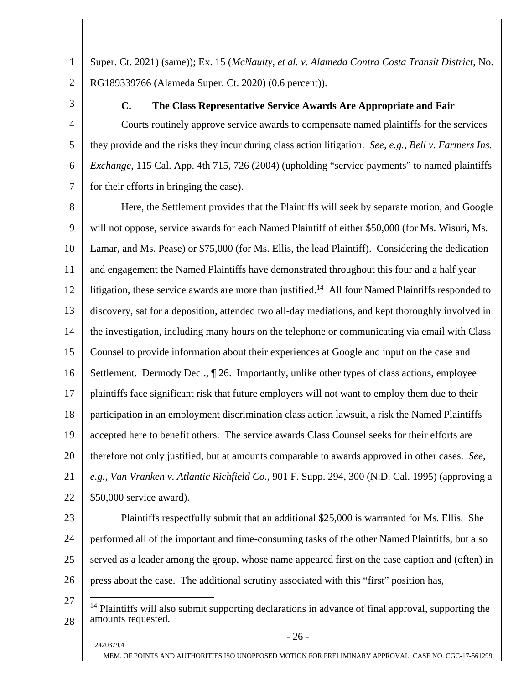1 2 Super. Ct. 2021) (same)); Ex. 15 (*McNaulty, et al. v. Alameda Contra Costa Transit District*, No. RG189339766 (Alameda Super. Ct. 2020) (0.6 percent)).

3

4

5

6

7

#### **C. The Class Representative Service Awards Are Appropriate and Fair**

Courts routinely approve service awards to compensate named plaintiffs for the services they provide and the risks they incur during class action litigation. *See, e.g.*, *Bell v. Farmers Ins. Exchange*, 115 Cal. App. 4th 715, 726 (2004) (upholding "service payments" to named plaintiffs for their efforts in bringing the case).

8 9 10 11 12 13 14 15 16 17 18 19 20 21 22 Here, the Settlement provides that the Plaintiffs will seek by separate motion, and Google will not oppose, service awards for each Named Plaintiff of either \$50,000 (for Ms. Wisuri, Ms. Lamar, and Ms. Pease) or \$75,000 (for Ms. Ellis, the lead Plaintiff). Considering the dedication and engagement the Named Plaintiffs have demonstrated throughout this four and a half year litigation, these service awards are more than justified.<sup>14</sup> All four Named Plaintiffs responded to discovery, sat for a deposition, attended two all-day mediations, and kept thoroughly involved in the investigation, including many hours on the telephone or communicating via email with Class Counsel to provide information about their experiences at Google and input on the case and Settlement. Dermody Decl., ¶ 26. Importantly, unlike other types of class actions, employee plaintiffs face significant risk that future employers will not want to employ them due to their participation in an employment discrimination class action lawsuit, a risk the Named Plaintiffs accepted here to benefit others. The service awards Class Counsel seeks for their efforts are therefore not only justified, but at amounts comparable to awards approved in other cases. *See, e.g.*, *Van Vranken v. Atlantic Richfield Co.*, 901 F. Supp. 294, 300 (N.D. Cal. 1995) (approving a \$50,000 service award).

23

24 25 26 Plaintiffs respectfully submit that an additional \$25,000 is warranted for Ms. Ellis. She performed all of the important and time-consuming tasks of the other Named Plaintiffs, but also served as a leader among the group, whose name appeared first on the case caption and (often) in press about the case. The additional scrutiny associated with this "first" position has,

27 28 <sup>14</sup> Plaintiffs will also submit supporting declarations in advance of final approval, supporting the amounts requested.

 $\overline{a}$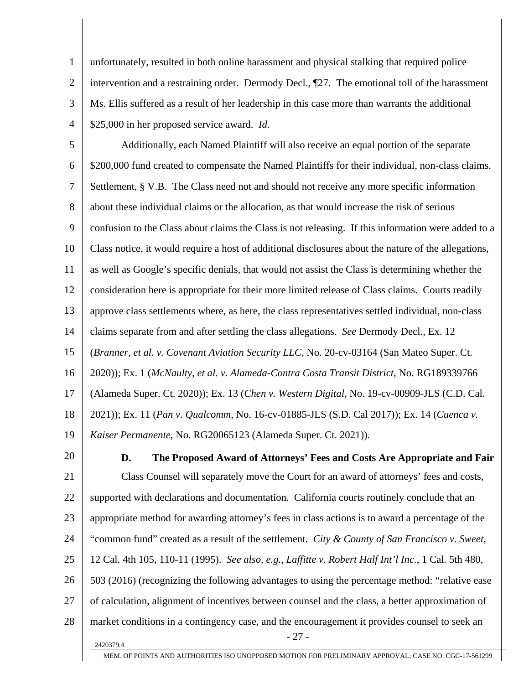1 2 3 4 unfortunately, resulted in both online harassment and physical stalking that required police intervention and a restraining order. Dermody Decl., ¶27. The emotional toll of the harassment Ms. Ellis suffered as a result of her leadership in this case more than warrants the additional \$25,000 in her proposed service award. *Id*.

5 6 7 8 9 10 11 12 13 14 15 16 17 18 19 Additionally, each Named Plaintiff will also receive an equal portion of the separate \$200,000 fund created to compensate the Named Plaintiffs for their individual, non-class claims. Settlement, § V.B. The Class need not and should not receive any more specific information about these individual claims or the allocation, as that would increase the risk of serious confusion to the Class about claims the Class is not releasing. If this information were added to a Class notice, it would require a host of additional disclosures about the nature of the allegations, as well as Google's specific denials, that would not assist the Class is determining whether the consideration here is appropriate for their more limited release of Class claims. Courts readily approve class settlements where, as here, the class representatives settled individual, non-class claims separate from and after settling the class allegations. *See* Dermody Decl., Ex. 12 (*Branner, et al. v. Covenant Aviation Security LLC*, No. 20-cv-03164 (San Mateo Super. Ct. 2020)); Ex. 1 (*McNaulty, et al. v. Alameda-Contra Costa Transit District*, No. RG189339766 (Alameda Super. Ct. 2020)); Ex. 13 (*Chen v. Western Digital*, No. 19-cv-00909-JLS (C.D. Cal. 2021)); Ex. 11 (*Pan v. Qualcomm*, No. 16-cv-01885-JLS (S.D. Cal 2017)); Ex. 14 (*Cuenca v. Kaiser Permanente*, No. RG20065123 (Alameda Super. Ct. 2021)).

20

21 22 23 24 25 26 27 28  $2420379.4$  - 27 -**D. The Proposed Award of Attorneys' Fees and Costs Are Appropriate and Fair**  Class Counsel will separately move the Court for an award of attorneys' fees and costs, supported with declarations and documentation. California courts routinely conclude that an appropriate method for awarding attorney's fees in class actions is to award a percentage of the "common fund" created as a result of the settlement. *City & County of San Francisco v. Sweet*, 12 Cal. 4th 105, 110-11 (1995). *See also, e.g.*, *Laffitte v. Robert Half Int'l Inc.*, 1 Cal. 5th 480, 503 (2016) (recognizing the following advantages to using the percentage method: "relative ease of calculation, alignment of incentives between counsel and the class, a better approximation of market conditions in a contingency case, and the encouragement it provides counsel to seek an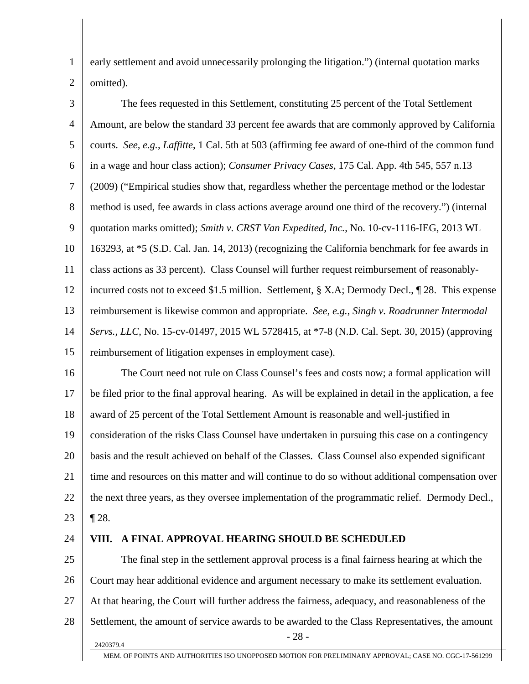early settlement and avoid unnecessarily prolonging the litigation.") (internal quotation marks omitted).

3 4 5 6 7 8 9 10 11 12 13 14 15 The fees requested in this Settlement, constituting 25 percent of the Total Settlement Amount, are below the standard 33 percent fee awards that are commonly approved by California courts. *See, e.g.*, *Laffitte*, 1 Cal. 5th at 503 (affirming fee award of one-third of the common fund in a wage and hour class action); *Consumer Privacy Cases*, 175 Cal. App. 4th 545, 557 n.13 (2009) ("Empirical studies show that, regardless whether the percentage method or the lodestar method is used, fee awards in class actions average around one third of the recovery.") (internal quotation marks omitted); *Smith v. CRST Van Expedited, Inc.*, No. 10-cv-1116-IEG, 2013 WL 163293, at \*5 (S.D. Cal. Jan. 14, 2013) (recognizing the California benchmark for fee awards in class actions as 33 percent). Class Counsel will further request reimbursement of reasonablyincurred costs not to exceed \$1.5 million. Settlement, § X.A; Dermody Decl., ¶ 28. This expense reimbursement is likewise common and appropriate. *See, e.g.*, *Singh v. Roadrunner Intermodal Servs., LLC*, No. 15-cv-01497, 2015 WL 5728415, at \*7-8 (N.D. Cal. Sept. 30, 2015) (approving reimbursement of litigation expenses in employment case).

16 17 18 19 20 21 22 23 The Court need not rule on Class Counsel's fees and costs now; a formal application will be filed prior to the final approval hearing. As will be explained in detail in the application, a fee award of 25 percent of the Total Settlement Amount is reasonable and well-justified in consideration of the risks Class Counsel have undertaken in pursuing this case on a contingency basis and the result achieved on behalf of the Classes. Class Counsel also expended significant time and resources on this matter and will continue to do so without additional compensation over the next three years, as they oversee implementation of the programmatic relief. Dermody Decl., ¶ 28.

24

1

2

#### **VIII. A FINAL APPROVAL HEARING SHOULD BE SCHEDULED**

25 26 27 28  $2420379.4$  - 28 -The final step in the settlement approval process is a final fairness hearing at which the Court may hear additional evidence and argument necessary to make its settlement evaluation. At that hearing, the Court will further address the fairness, adequacy, and reasonableness of the Settlement, the amount of service awards to be awarded to the Class Representatives, the amount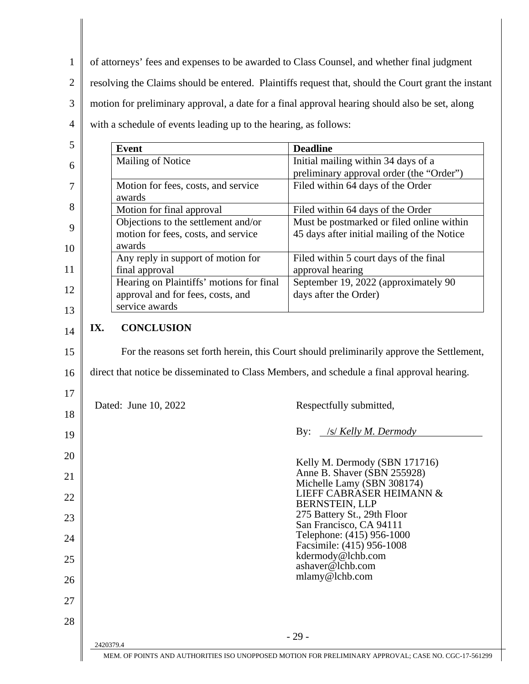1 2 3 4 of attorneys' fees and expenses to be awarded to Class Counsel, and whether final judgment resolving the Claims should be entered. Plaintiffs request that, should the Court grant the instant motion for preliminary approval, a date for a final approval hearing should also be set, along with a schedule of events leading up to the hearing, as follows:

| 5  | <b>Event</b>                                                                                         | <b>Deadline</b>                                                                           |
|----|------------------------------------------------------------------------------------------------------|-------------------------------------------------------------------------------------------|
| 6  | Mailing of Notice                                                                                    | Initial mailing within 34 days of a                                                       |
|    |                                                                                                      | preliminary approval order (the "Order")                                                  |
| 7  | Motion for fees, costs, and service<br>awards                                                        | Filed within 64 days of the Order                                                         |
| 8  | Motion for final approval                                                                            | Filed within 64 days of the Order                                                         |
| 9  | Objections to the settlement and/or<br>motion for fees, costs, and service                           | Must be postmarked or filed online within<br>45 days after initial mailing of the Notice  |
| 10 | awards<br>Any reply in support of motion for                                                         | Filed within 5 court days of the final                                                    |
| 11 | final approval                                                                                       | approval hearing                                                                          |
| 12 | Hearing on Plaintiffs' motions for final<br>approval and for fees, costs, and                        | September 19, 2022 (approximately 90<br>days after the Order)                             |
| 13 | service awards                                                                                       |                                                                                           |
| 14 | <b>CONCLUSION</b><br>IX.                                                                             |                                                                                           |
| 15 |                                                                                                      | For the reasons set forth herein, this Court should preliminarily approve the Settlement, |
| 16 | direct that notice be disseminated to Class Members, and schedule a final approval hearing.          |                                                                                           |
| 17 |                                                                                                      |                                                                                           |
| 18 | Dated: June 10, 2022                                                                                 | Respectfully submitted,                                                                   |
| 19 |                                                                                                      | /s/ Kelly M. Dermody<br>By:                                                               |
| 20 |                                                                                                      | Kelly M. Dermody (SBN 171716)                                                             |
| 21 |                                                                                                      | Anne B. Shaver (SBN 255928)<br>Michelle Lamy (SBN 308174)                                 |
| 22 |                                                                                                      | LIEFF CABRASER HEIMANN &<br>BERNSTEIN, LLP                                                |
| 23 |                                                                                                      | 275 Battery St., 29th Floor<br>San Francisco, CA 94111                                    |
| 24 |                                                                                                      | Telephone: (415) 956-1000<br>Facsimile: (415) 956-1008                                    |
| 25 |                                                                                                      | kdermody@lchb.com<br>ashaver@lchb.com                                                     |
| 26 |                                                                                                      | mlamy@lchb.com                                                                            |
| 27 |                                                                                                      |                                                                                           |
| 28 |                                                                                                      |                                                                                           |
|    | 2420379.4                                                                                            | $-29-$                                                                                    |
|    | MEM. OF POINTS AND AUTHORITIES ISO UNOPPOSED MOTION FOR PRELIMINARY APPROVAL; CASE NO. CGC-17-561299 |                                                                                           |